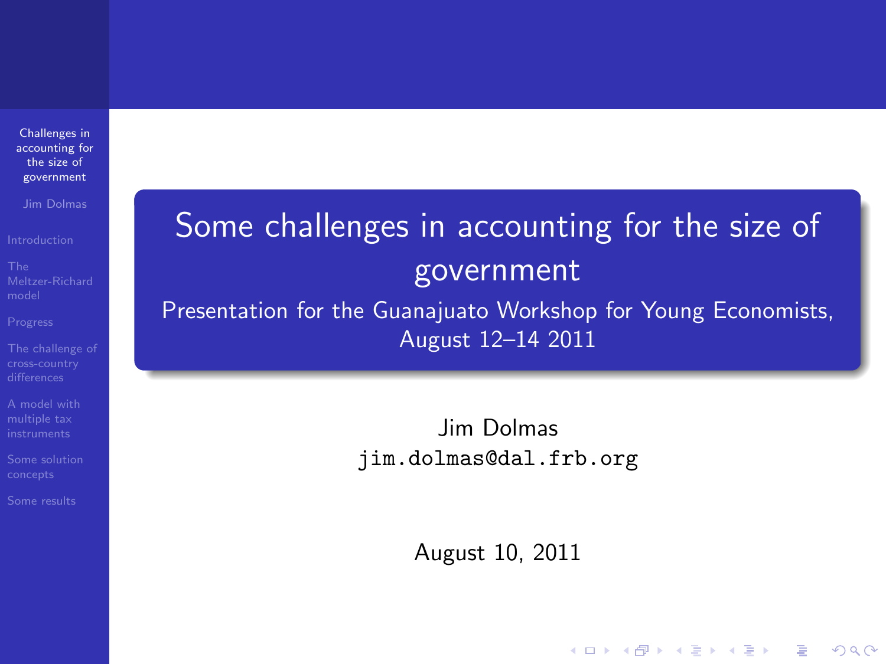Challenges in [accounting for](#page-51-0) the size of government

Jim Dolmas

<span id="page-0-0"></span>

# Some challenges in accounting for the size of government

Presentation for the Guanajuato Workshop for Young Economists, August 12–14 2011

> Jim Dolmas jim.dolmas@dal.frb.org

> > August 10, 2011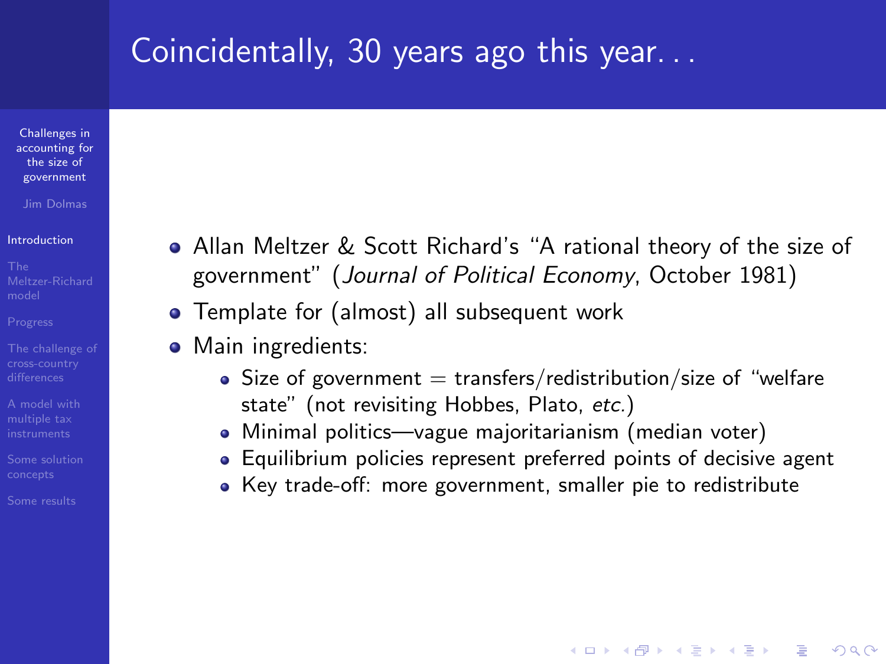## Coincidentally, 30 years ago this year. . .

Challenges in [accounting for](#page-0-0) the size of government

Jim Dolmas

#### [Introduction](#page-1-0)

- 
- 
- 
- [A model with](#page-16-0)
- 
- <span id="page-1-0"></span>
- Allan Meltzer & Scott Richard's "A rational theory of the size of government" (Journal of Political Economy, October 1981)
- Template for (almost) all subsequent work
- Main ingredients:
	- Size of government  $=$  transfers/redistribution/size of "welfare state" (not revisiting Hobbes, Plato, etc.)
	- Minimal politics—vague majoritarianism (median voter)
	- Equilibrium policies represent preferred points of decisive agent

**KORK ERKER ADE YOUR** 

Key trade-off: more government, smaller pie to redistribute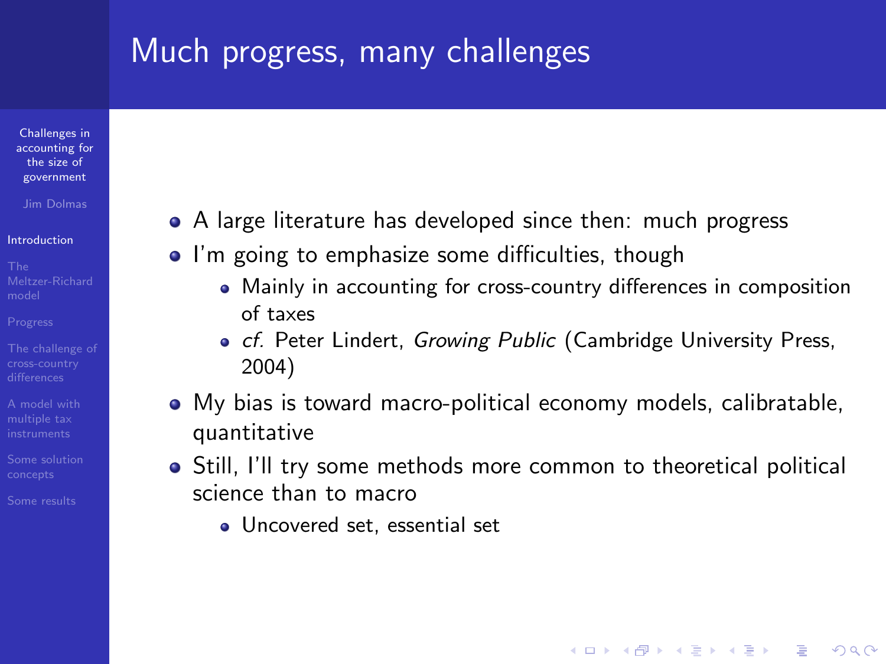# Much progress, many challenges

Challenges in [accounting for](#page-0-0) the size of government

Jim Dolmas

#### [Introduction](#page-1-0)

- 
- 
- 
- [A model with](#page-16-0)
- 
- 
- A large literature has developed since then: much progress
- I'm going to emphasize some difficulties, though
	- Mainly in accounting for cross-country differences in composition of taxes
	- o cf. Peter Lindert, Growing Public (Cambridge University Press, 2004)
- My bias is toward macro-political economy models, calibratable, quantitative
- Still, I'll try some methods more common to theoretical political science than to macro

**KORK ERKER ADE YOUR** 

Uncovered set, essential set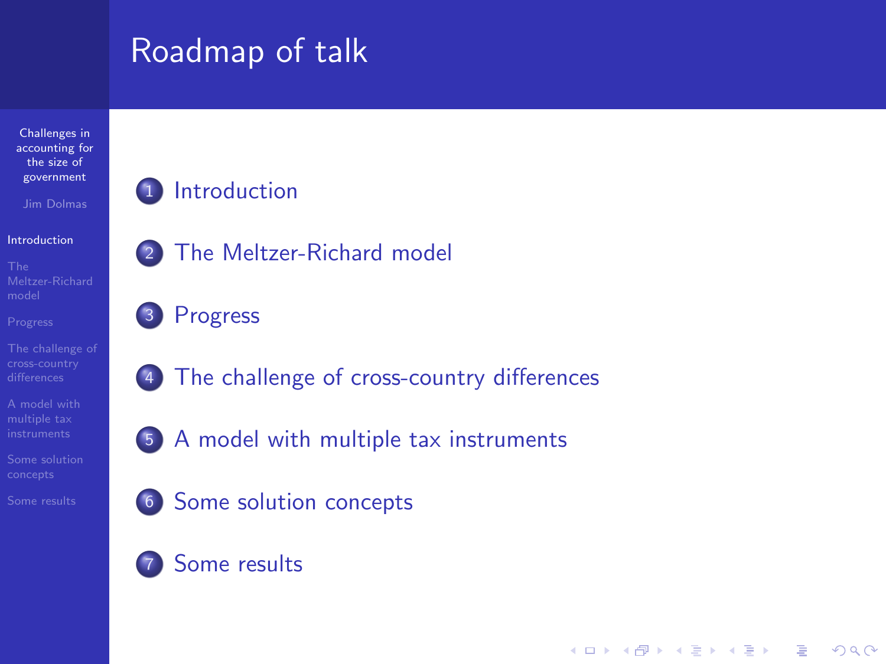# Roadmap of talk

Challenges in [accounting for](#page-0-0) the size of government

Jim Dolmas

#### [Introduction](#page-1-0)

#### <sup>1</sup> [Introduction](#page-1-0)

<sup>2</sup> [The Meltzer-Richard model](#page-4-0)

#### <sup>3</sup> [Progress](#page-10-0)

- <sup>4</sup> [The challenge of cross-country differences](#page-13-0)
- <sup>5</sup> [A model with multiple tax instruments](#page-16-0)

**KORK ERRY ABY DE YOUR** 

- <sup>6</sup> [Some solution concepts](#page-29-0)
- <sup>7</sup> [Some results](#page-36-0)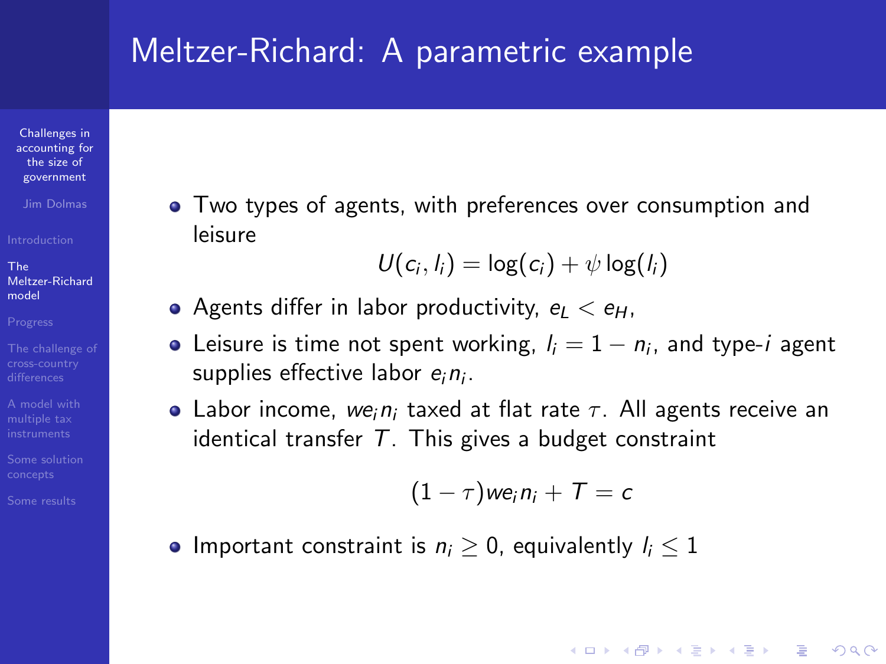#### Meltzer-Richard: A parametric example

Challenges in [accounting for](#page-0-0) the size of government

Jim Dolmas

The [Meltzer-Richard](#page-4-0) model

[A model with](#page-16-0)

<span id="page-4-0"></span>

Two types of agents, with preferences over consumption and leisure

$$
U(c_i, l_i) = \log(c_i) + \psi \log(l_i)
$$

- Agents differ in labor productivity,  $e_1 < e_H$ ,
- Leisure is time not spent working,  $l_i = 1 n_i$ , and type- $i$  agent supplies effective labor  $e_i n_i$ .
- Labor income, we<sub>i</sub>n<sub>i</sub> taxed at flat rate  $\tau$ . All agents receive an identical transfer  $T$ . This gives a budget constraint

$$
(1-\tau)we_in_i+T=c
$$

**KORK ERKER ADE YOUR** 

• Important constraint is  $n_i > 0$ , equivalently  $l_i \leq 1$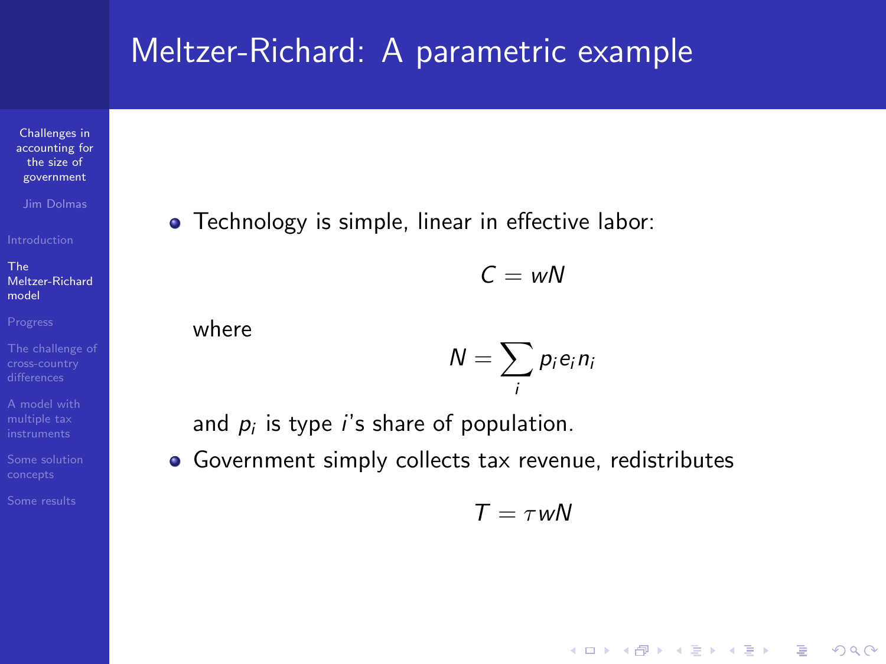#### Meltzer-Richard: A parametric example

Challenges in [accounting for](#page-0-0) the size of government

Jim Dolmas

The [Meltzer-Richard](#page-4-0) model

[A model with](#page-16-0)

**•** Technology is simple, linear in effective labor:

 $C = wN$ 

where

$$
N=\sum_i p_i e_i n_i
$$

and  $p_i$  is type  $i$ 's share of population.

Government simply collects tax revenue, redistributes

 $T = \tau wN$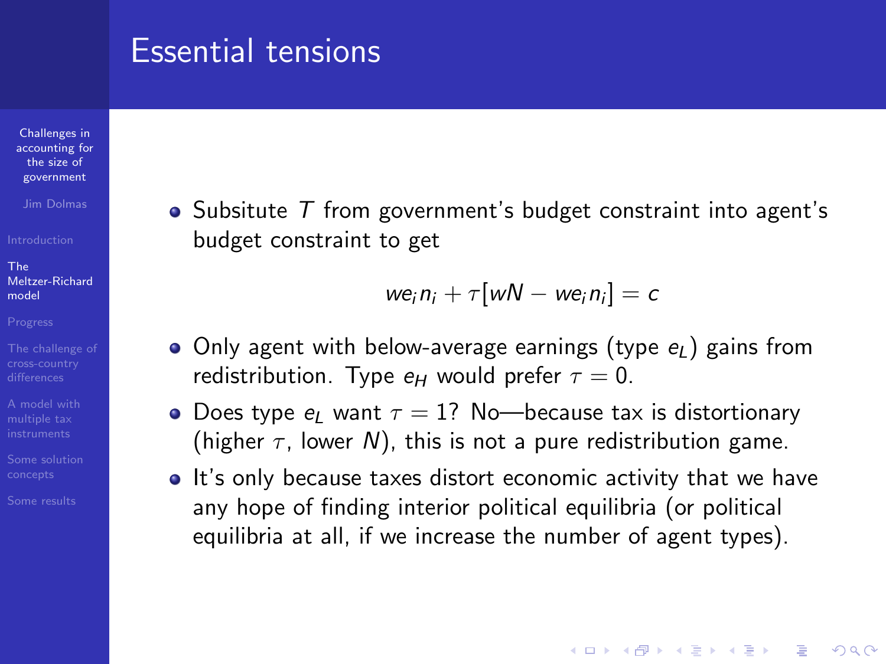#### Essential tensions

Challenges in [accounting for](#page-0-0) the size of government

Jim Dolmas

The [Meltzer-Richard](#page-4-0) model

[A model with](#page-16-0)

 $\bullet$  Subsitute  $\top$  from government's budget constraint into agent's budget constraint to get

 $we_i n_i + \tau[ wN - we_i n_i] = c$ 

- Only agent with below-average earnings (type  $e_L$ ) gains from redistribution. Type  $e_H$  would prefer  $\tau = 0$ .
- Does type  $e_L$  want  $\tau = 1$ ? No—because tax is distortionary (higher  $\tau$ , lower N), this is not a pure redistribution game.
- It's only because taxes distort economic activity that we have any hope of finding interior political equilibria (or political equilibria at all, if we increase the number of agent types).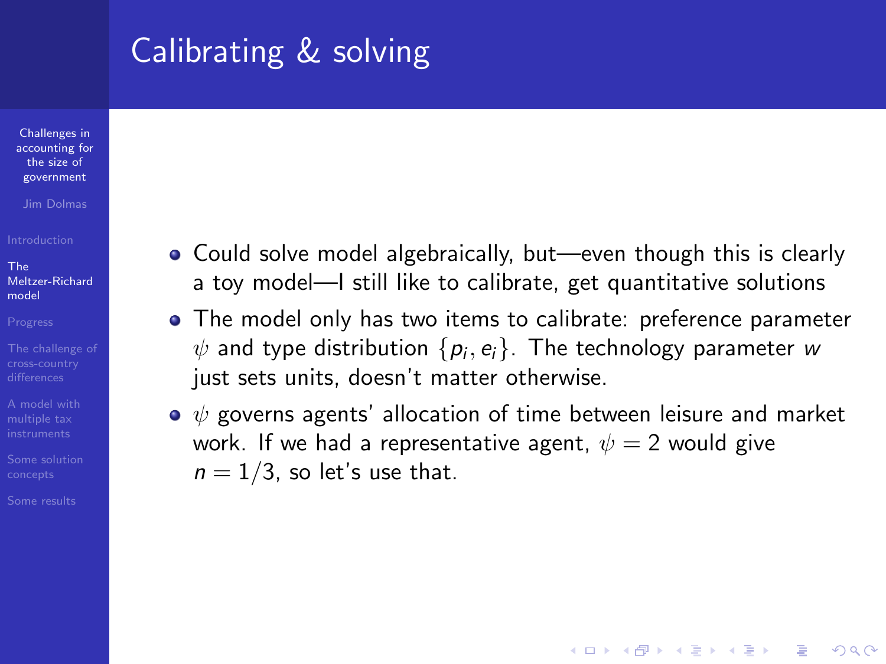# Calibrating & solving

Challenges in [accounting for](#page-0-0) the size of government

Jim Dolmas

The [Meltzer-Richard](#page-4-0) model

[A model with](#page-16-0)

- Could solve model algebraically, but—even though this is clearly a toy model—I still like to calibrate, get quantitative solutions
- The model only has two items to calibrate: preference parameter  $\psi$  and type distribution  $\{ \rho_i , e_i \}$ . The technology parameter  $w$ just sets units, doesn't matter otherwise.
- $\bullet \psi$  governs agents' allocation of time between leisure and market work. If we had a representative agent,  $\psi = 2$  would give  $n = 1/3$ , so let's use that.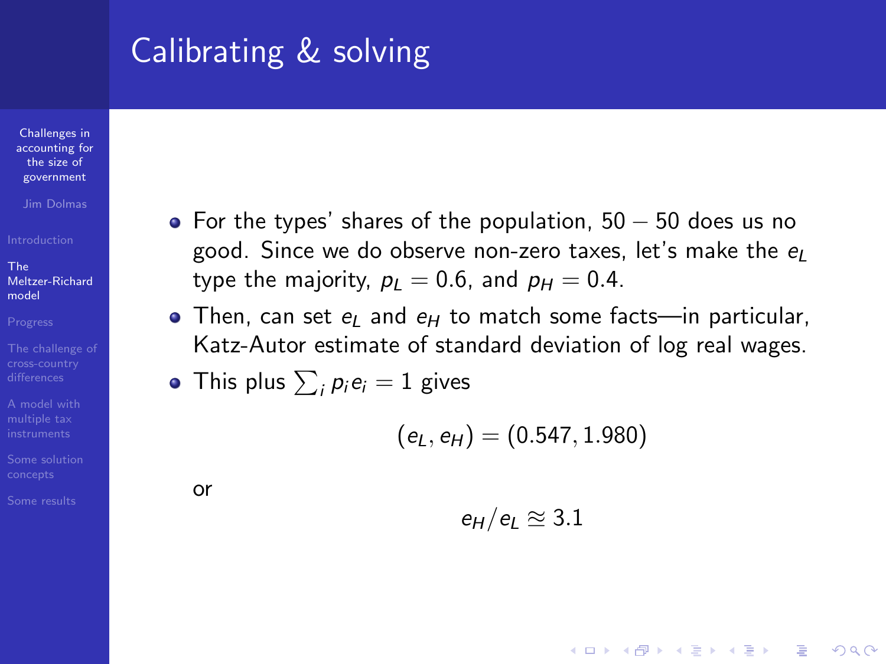# Calibrating & solving

Challenges in [accounting for](#page-0-0) the size of government

Jim Dolmas

The [Meltzer-Richard](#page-4-0) model

[A model with](#page-16-0)

- For the types' shares of the population,  $50 50$  does us no good. Since we do observe non-zero taxes, let's make the  $e_l$ type the majority,  $p_L = 0.6$ , and  $p_H = 0.4$ .
- Then, can set  $e_l$  and  $e_H$  to match some facts—in particular, Katz-Autor estimate of standard deviation of log real wages.

• This plus 
$$
\sum_{i} p_i e_i = 1
$$
 gives

$$
(e_L,e_H)=(0.547,1.980)
$$

or

$$
e_H/e_L \approxeq 3.1
$$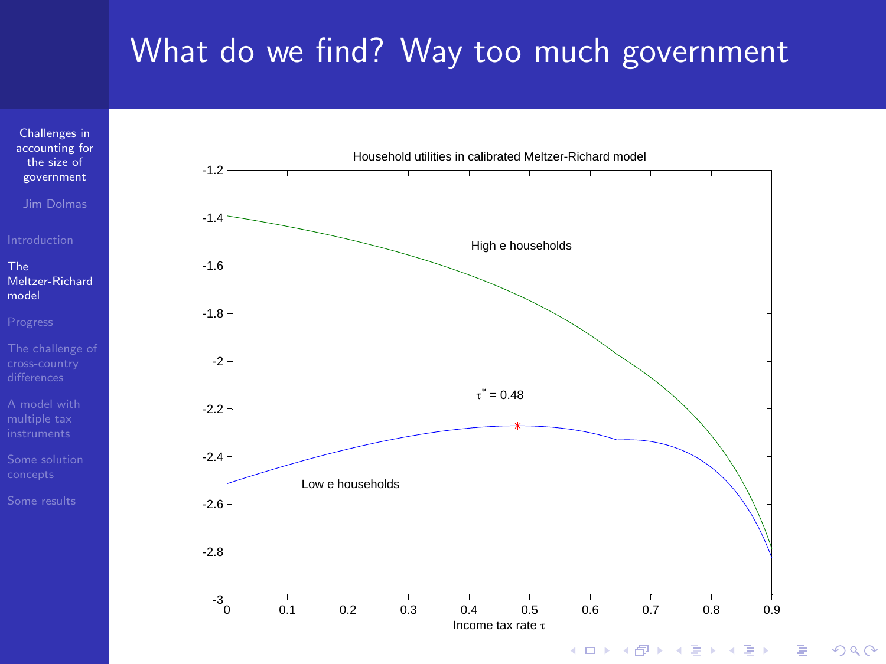# What do we find? Way too much government



 $2990$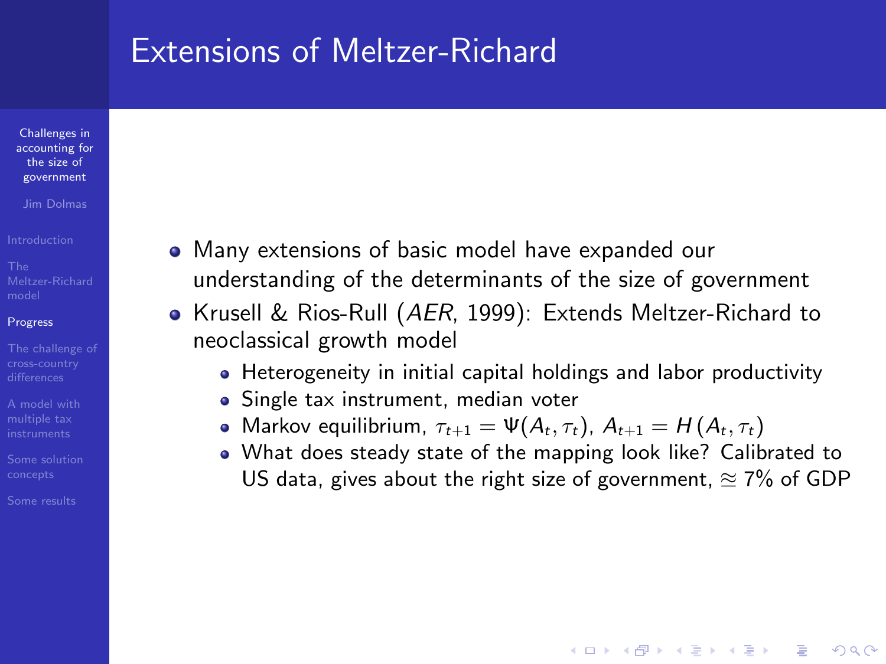#### Extensions of Meltzer-Richard

Challenges in [accounting for](#page-0-0) the size of government

Jim Dolmas

#### [Progress](#page-10-0)

[A model with](#page-16-0)

<span id="page-10-0"></span>

- Many extensions of basic model have expanded our understanding of the determinants of the size of government
- Krusell & Rios-Rull (AER, 1999): Extends Meltzer-Richard to neoclassical growth model
	- Heterogeneity in initial capital holdings and labor productivity
	- Single tax instrument, median voter
	- Markov equilibrium,  $\tau_{t+1} = \Psi(A_t, \tau_t)$ ,  $A_{t+1} = H(A_t, \tau_t)$
	- What does steady state of the mapping look like? Calibrated to US data, gives about the right size of government,  $\approx$  7% of GDP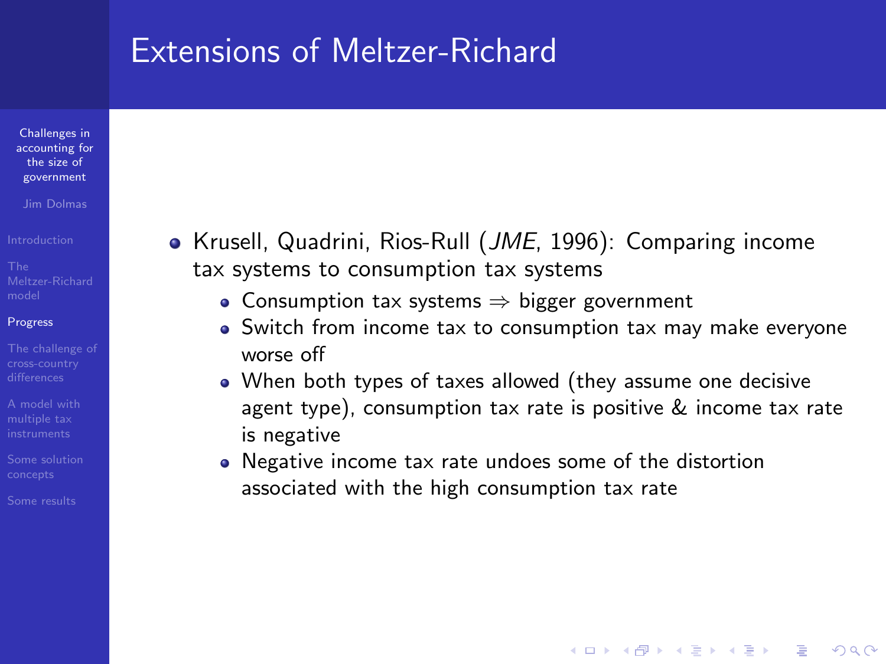#### Extensions of Meltzer-Richard

Challenges in [accounting for](#page-0-0) the size of government

Jim Dolmas

#### [Progress](#page-10-0)

[A model with](#page-16-0)

- Krusell, Quadrini, Rios-Rull (*JME*, 1996): Comparing income tax systems to consumption tax systems
	- Consumption tax systems ⇒ bigger government
	- Switch from income tax to consumption tax may make everyone worse off
	- When both types of taxes allowed (they assume one decisive agent type), consumption tax rate is positive & income tax rate is negative

**KORK ERKER ADE YOUR** 

Negative income tax rate undoes some of the distortion associated with the high consumption tax rate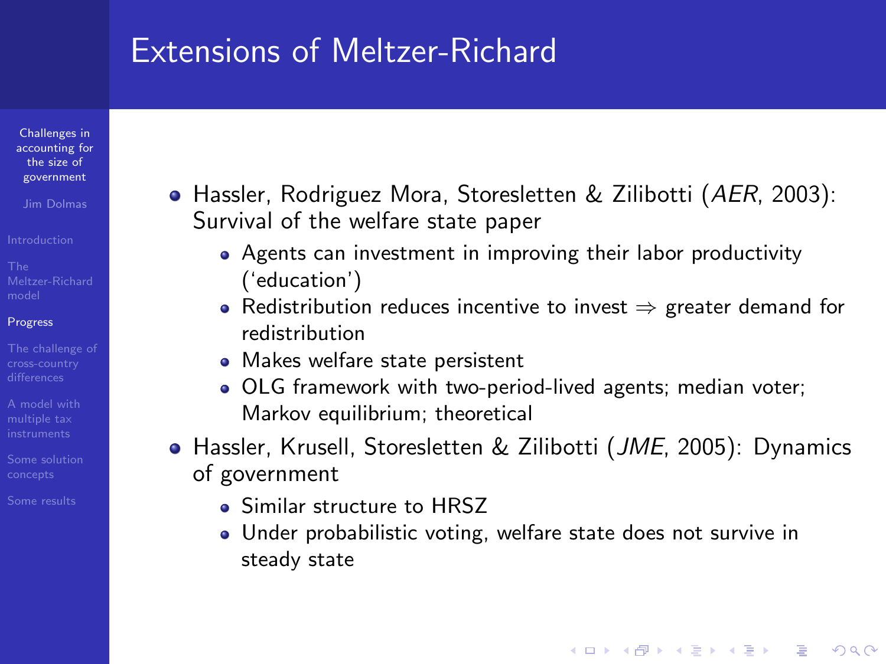#### Extensions of Meltzer-Richard

Challenges in [accounting for](#page-0-0) the size of government

Jim Dolmas

#### [Progress](#page-10-0)

[A model with](#page-16-0)

- Hassler, Rodriguez Mora, Storesletten & Zilibotti (AER, 2003): Survival of the welfare state paper
	- Agents can investment in improving their labor productivity ('education')
	- Redistribution reduces incentive to invest  $\Rightarrow$  greater demand for redistribution
	- Makes welfare state persistent
	- OLG framework with two-period-lived agents; median voter; Markov equilibrium; theoretical
- **•** Hassler, Krusell, Storesletten & Zilibotti (*JME*, 2005): Dynamics of government
	- **Similar structure to HRSZ**
	- Under probabilistic voting, welfare state does not survive in steady state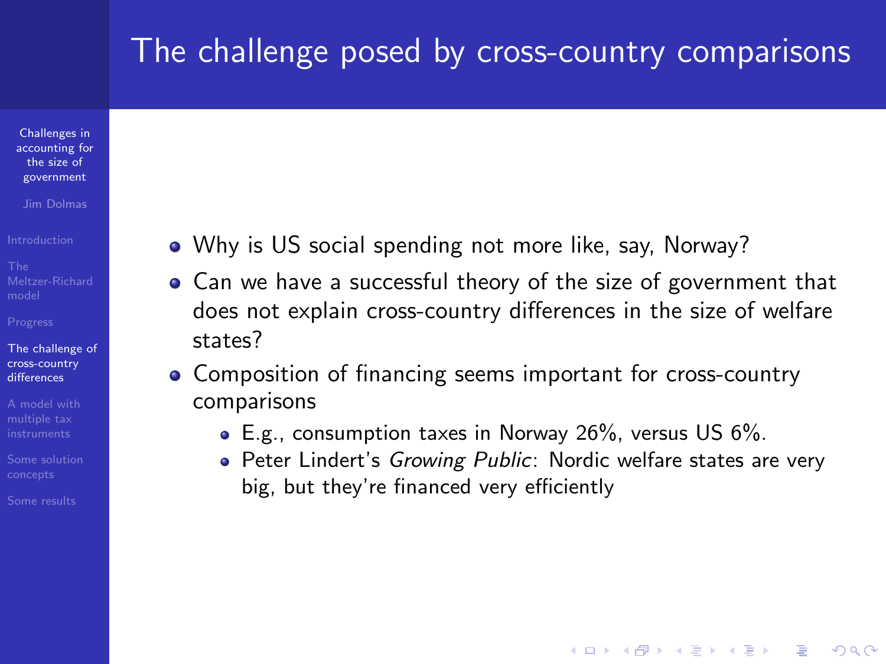## The challenge posed by cross-country comparisons

Challenges in [accounting for](#page-0-0) the size of government

Jim Dolmas

[The challenge of](#page-13-0) cross-country differences

[A model with](#page-16-0)

<span id="page-13-0"></span>

- Why is US social spending not more like, say, Norway?
- Can we have a successful theory of the size of government that does not explain cross-country differences in the size of welfare states?
- Composition of financing seems important for cross-country comparisons
	- E.g., consumption taxes in Norway 26%, versus US 6%.
	- Peter Lindert's Growing Public: Nordic welfare states are very big, but they're financed very efficiently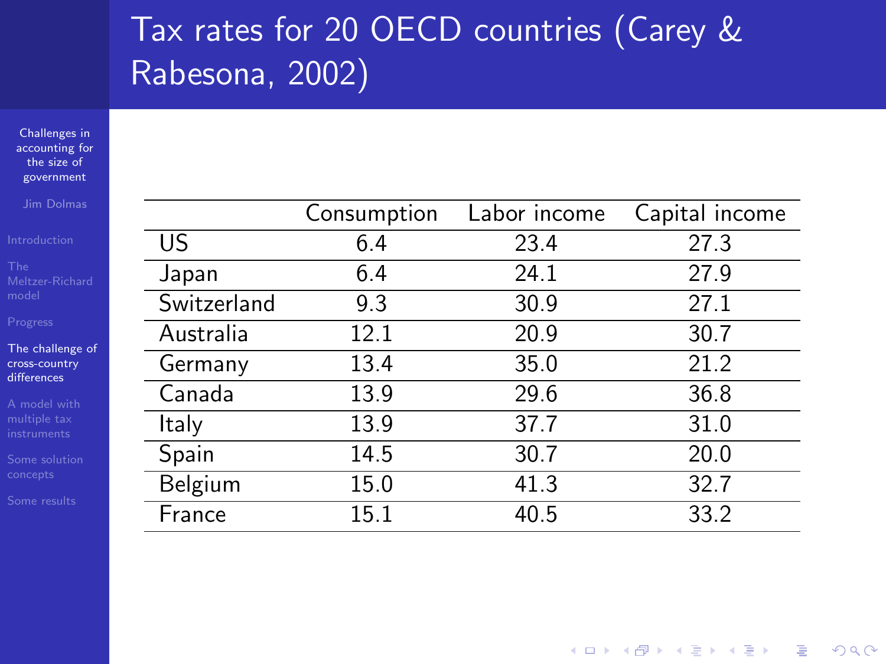# Tax rates for 20 OECD countries (Carey & Rabesona, 2002)

Challenges in [accounting for](#page-0-0) the size of government

Jim Dolmas

[The challenge of](#page-13-0) cross-country differences

|             | Consumption | Labor income | Capital income |
|-------------|-------------|--------------|----------------|
| US.         | 6.4         | 23.4         | 27.3           |
| Japan       | 6.4         | 24.1         | 27.9           |
| Switzerland | 9.3         | 30.9         | 27.1           |
| Australia   | 12.1        | 20.9         | 30.7           |
| Germany     | 13.4        | 35.0         | 21.2           |
| Canada      | 13.9        | 29.6         | 36.8           |
| Italy       | 13.9        | 37.7         | 31.0           |
| Spain       | 14.5        | 30.7         | 20.0           |
| Belgium     | 15.0        | 41.3         | 32.7           |
| France      | 15.1        | 40.5         | 33.2           |

 $\left\{ \begin{array}{ccc} \pm & \pm & \pm \end{array} \right.$ 

 $\equiv$ 

 $2990$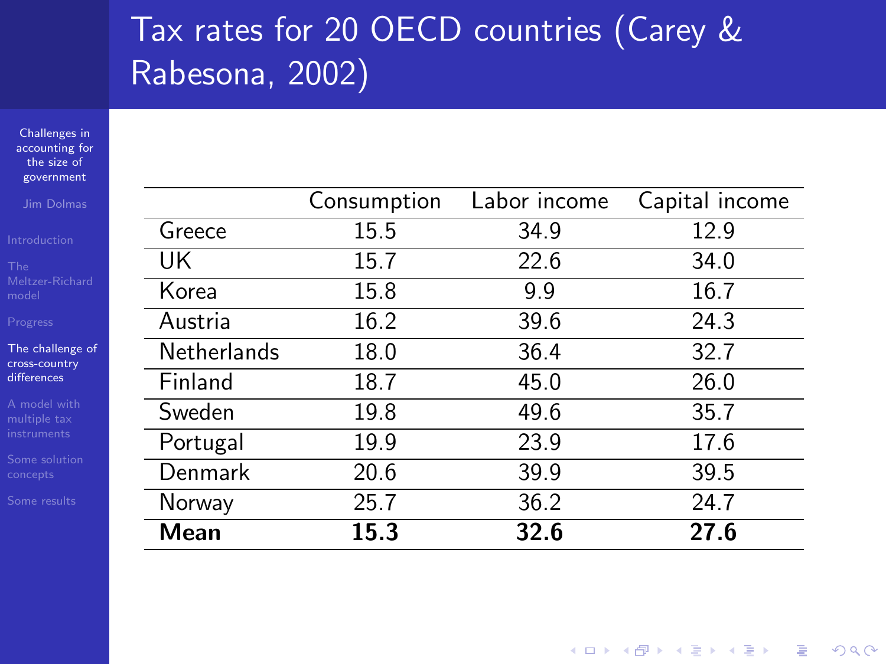# Tax rates for 20 OECD countries (Carey & Rabesona, 2002)

Challenges in [accounting for](#page-0-0) the size of government

Jim Dolmas

[The challenge of](#page-13-0) cross-country differences

|                    | Consumption | Labor income | Capital income |
|--------------------|-------------|--------------|----------------|
| Greece             | 15.5        | 34.9         | 12.9           |
| UK                 | 15.7        | 22.6         | 34.0           |
| Korea              | 15.8        | 9.9          | 16.7           |
| Austria            | 16.2        | 39.6         | 24.3           |
| <b>Netherlands</b> | 18.0        | 36.4         | 32.7           |
| Finland            | 18.7        | 45.0         | 26.0           |
| Sweden             | 19.8        | 49.6         | 35.7           |
| Portugal           | 19.9        | 23.9         | 17.6           |
| Denmark            | 20.6        | 39.9         | 39.5           |
| Norway             | 25.7        | 36.2         | 24.7           |
| Mean               | 15.3        | 32.6         | 27.6           |

**KORK STRATER STRAKER**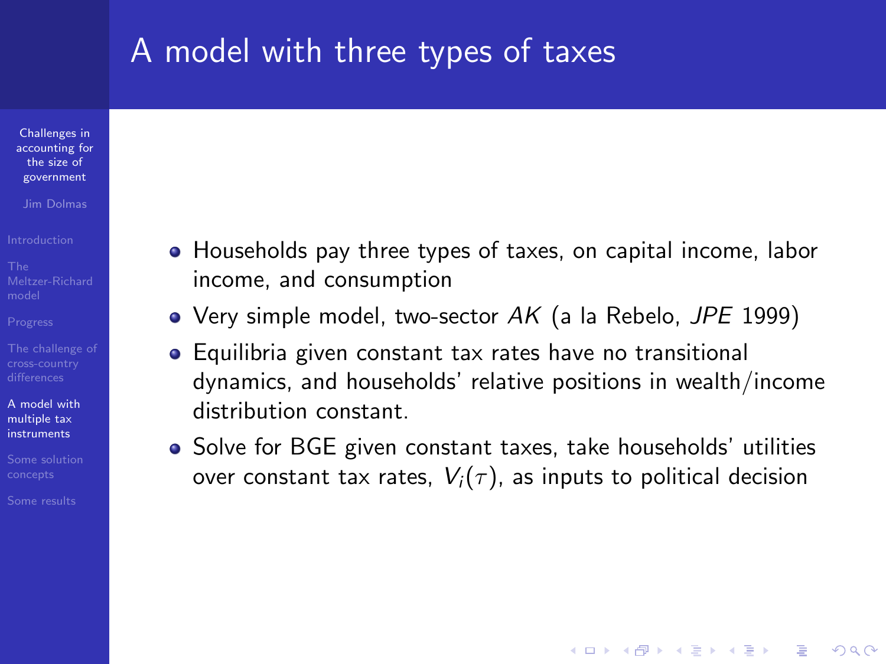#### A model with three types of taxes

Challenges in [accounting for](#page-0-0) the size of government

Jim Dolmas

[A model with](#page-16-0) multiple tax instruments

<span id="page-16-0"></span>

- Households pay three types of taxes, on capital income, labor income, and consumption
- Very simple model, two-sector  $AK$  (a la Rebelo, JPE 1999)
- Equilibria given constant tax rates have no transitional dynamics, and households' relative positions in wealth/income distribution constant.
- Solve for BGE given constant taxes, take households' utilities over constant tax rates,  $V_i(\tau)$ , as inputs to political decision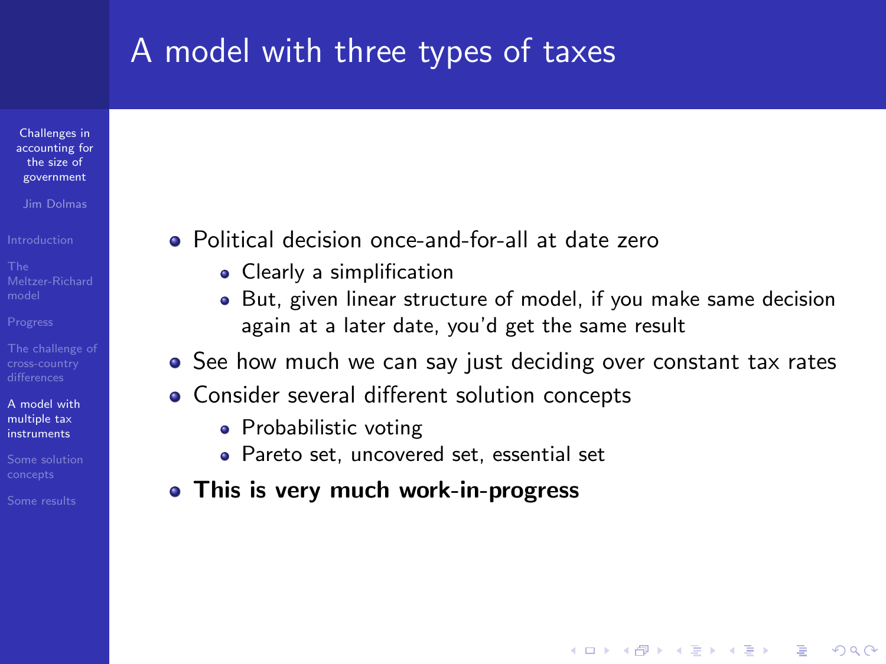# A model with three types of taxes

Challenges in [accounting for](#page-0-0) the size of government

Jim Dolmas

[A model with](#page-16-0) multiple tax instruments

- Political decision once-and-for-all at date zero
	- Clearly a simplification
	- But, given linear structure of model, if you make same decision again at a later date, you'd get the same result

- See how much we can say just deciding over constant tax rates
- **Consider several different solution concepts** 
	- Probabilistic voting
	- Pareto set, uncovered set, essential set
- This is very much work-in-progress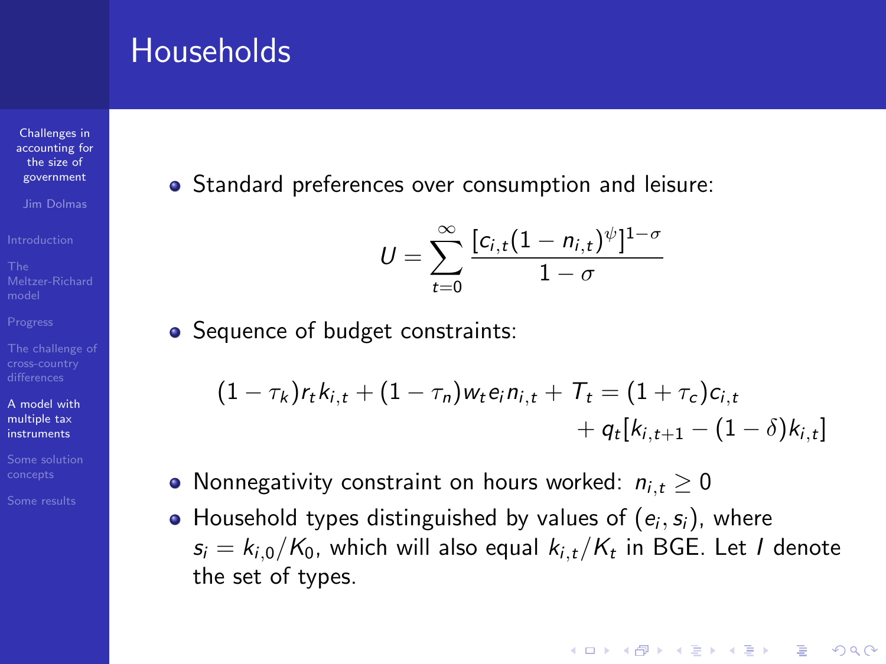#### **Households**

Challenges in [accounting for](#page-0-0) the size of government

Jim Dolmas

- 
- 
- 
- 
- [A model with](#page-16-0) multiple tax instruments
- 
- 

• Standard preferences over consumption and leisure:

$$
U=\sum_{t=0}^{\infty}\frac{[c_{i,t}(1-n_{i,t})^{\psi}]^{1-\sigma}}{1-\sigma}
$$

• Sequence of budget constraints:

$$
(1 - \tau_k) r_t k_{i,t} + (1 - \tau_n) w_t e_i n_{i,t} + T_t = (1 + \tau_c) c_{i,t} + q_t [k_{i,t+1} - (1 - \delta) k_{i,t}]
$$

- Nonnegativity constraint on hours worked:  $n_{i,t} \geq 0$
- Household types distinguished by values of  $(e_i, s_i)$ , where  $\mathsf{s}_{i} = k_{i,0} / \mathcal{K}_{0}$ , which will also equal  $k_{i,t} / \mathcal{K}_{t}$  in BGE. Let  $I$  denote the set of types.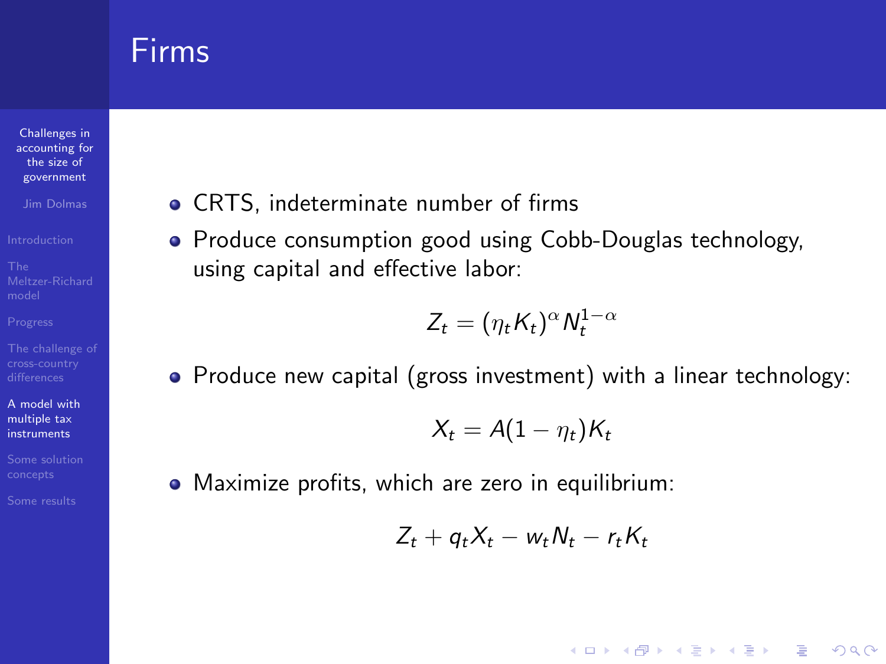#### Firms

Challenges in [accounting for](#page-0-0) the size of government

Jim Dolmas

[A model with](#page-16-0) multiple tax instruments

- CRTS, indeterminate number of firms
- Produce consumption good using Cobb-Douglas technology, using capital and effective labor:

$$
Z_t = (\eta_t K_t)^{\alpha} N_t^{1-\alpha}
$$

• Produce new capital (gross investment) with a linear technology:

$$
X_t = A(1 - \eta_t)K_t
$$

Maximize profits, which are zero in equilibrium:

$$
Z_t + q_t X_t - w_t N_t - r_t K_t
$$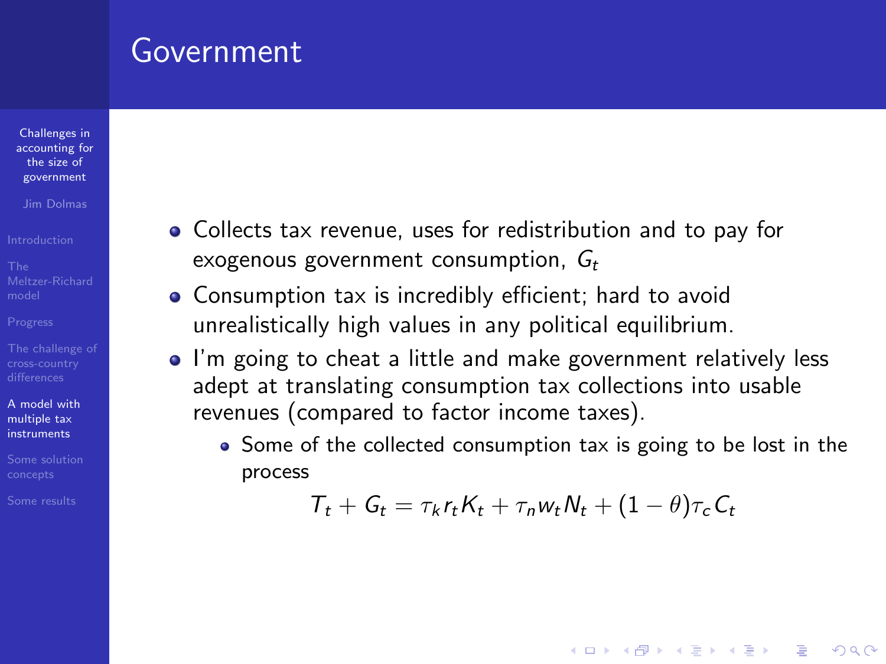#### Government

Challenges in [accounting for](#page-0-0) the size of government

Jim Dolmas

[A model with](#page-16-0) multiple tax instruments

- Collects tax revenue, uses for redistribution and to pay for exogenous government consumption,  $G_t$
- Consumption tax is incredibly efficient; hard to avoid unrealistically high values in any political equilibrium.
- I'm going to cheat a little and make government relatively less adept at translating consumption tax collections into usable revenues (compared to factor income taxes).
	- Some of the collected consumption tax is going to be lost in the process

$$
T_t + G_t = \tau_k r_t K_t + \tau_n w_t N_t + (1 - \theta) \tau_c C_t
$$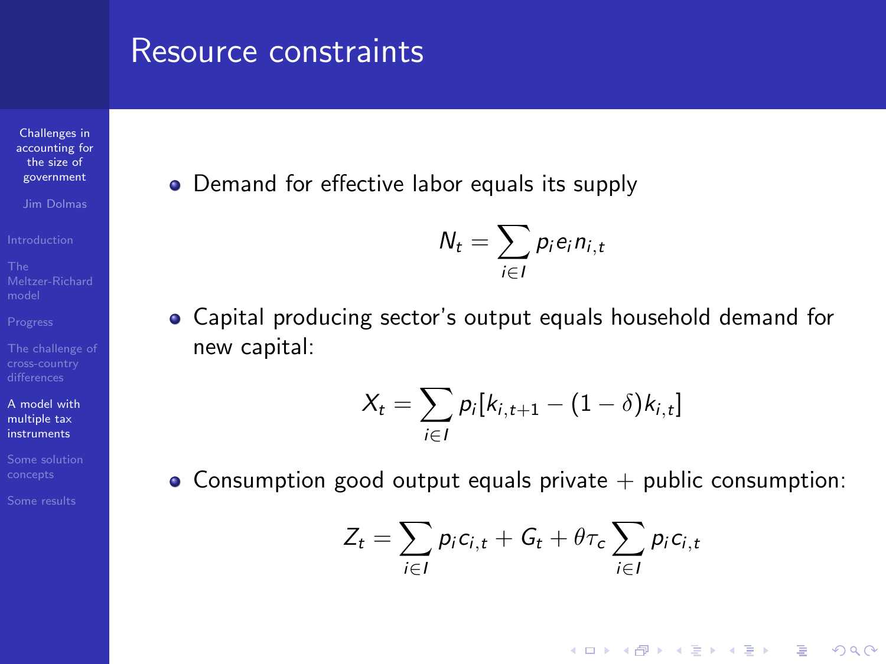#### Resource constraints

Challenges in [accounting for](#page-0-0) the size of government

Jim Dolmas

[A model with](#page-16-0) multiple tax instruments

• Demand for effective labor equals its supply

$$
N_t = \sum_{i \in I} p_i e_i n_{i,t}
$$

Capital producing sector's output equals household demand for new capital:

$$
X_t = \sum_{i \in I} p_i[k_{i,t+1}-(1-\delta)k_{i,t}]
$$

• Consumption good output equals private  $+$  public consumption:

$$
Z_t = \sum_{i \in I} p_i c_{i,t} + G_t + \theta \tau_c \sum_{i \in I} p_i c_{i,t}
$$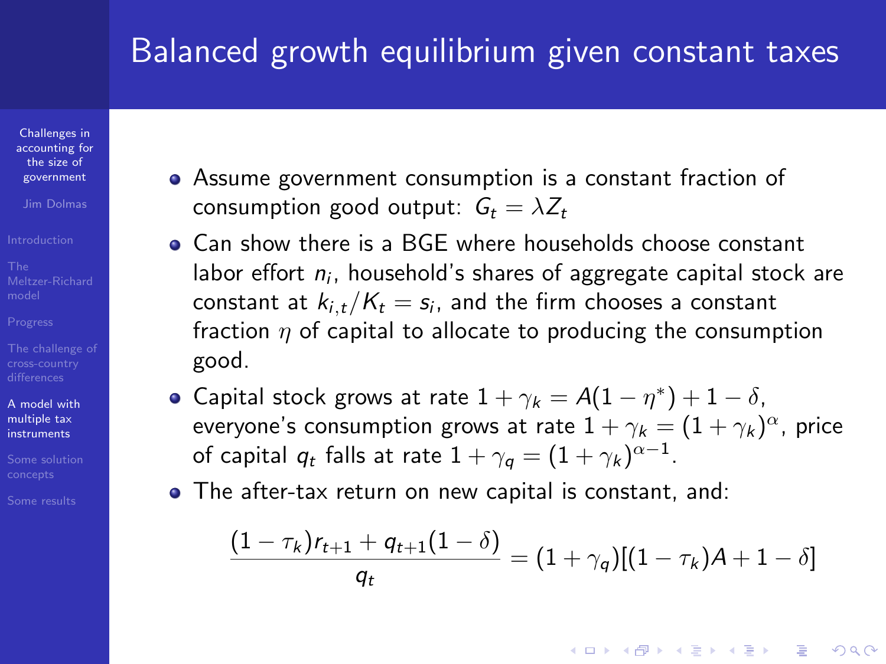# Balanced growth equilibrium given constant taxes

Challenges in [accounting for](#page-0-0) the size of government

Jim Dolmas

[A model with](#page-16-0) multiple tax instruments

- Assume government consumption is a constant fraction of consumption good output:  $G_t = \lambda Z_t$
- **Can show there is a BGE where households choose constant** labor effort  $n_i$ , household's shares of aggregate capital stock are constant at  $k_{i,t}/K_t=s_i$ , and the firm chooses a constant fraction  $\eta$  of capital to allocate to producing the consumption good.
- Capital stock grows at rate  $1 + \gamma_k = A(1 \eta^*) + 1 \delta$ , everyone's consumption grows at rate  $1+\gamma_k=(1+\gamma_k)^{\alpha}$ , price of capital  $q_t$  falls at rate  $1+\gamma_q=(1+\gamma_k)^{\alpha-1}.$
- The after-tax return on new capital is constant, and:

$$
\frac{(1-\tau_k)r_{t+1}+q_{t+1}(1-\delta)}{q_t}=(1+\gamma_q)[(1-\tau_k)A+1-\delta]
$$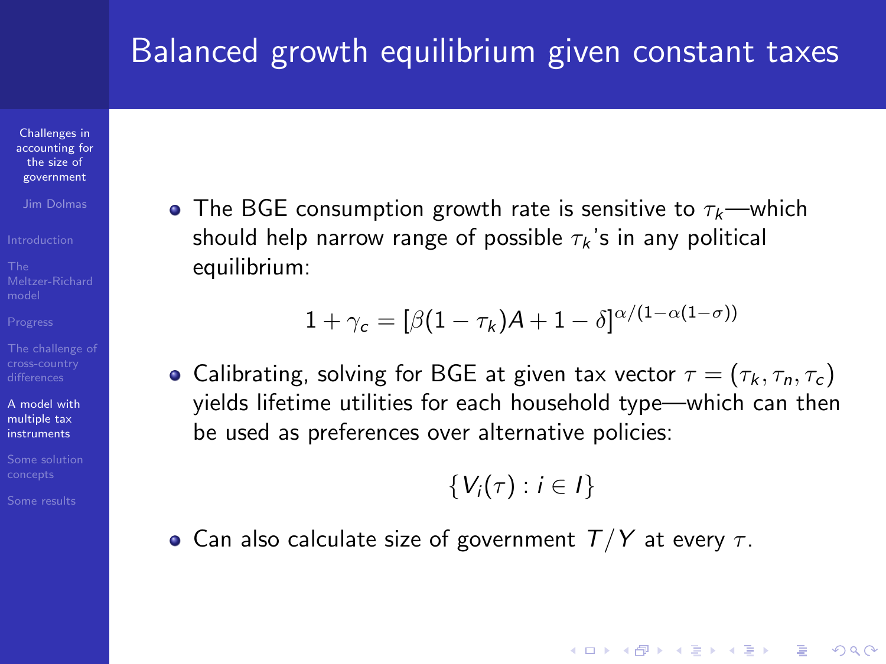## Balanced growth equilibrium given constant taxes

Challenges in [accounting for](#page-0-0) the size of government

Jim Dolmas

[A model with](#page-16-0) multiple tax instruments

• The BGE consumption growth rate is sensitive to  $\tau_k$ —which should help narrow range of possible  $\tau_k$ 's in any political equilibrium:

$$
1+\gamma_c=[\beta(1-\tau_k)A+1-\delta]^{\alpha/(1-\alpha(1-\sigma))}
$$

• Calibrating, solving for BGE at given tax vector  $\tau = (\tau_k, \tau_n, \tau_c)$ yields lifetime utilities for each household type—which can then be used as preferences over alternative policies:

$$
\{V_i(\tau): i\in I\}
$$

**KORKA SERKER ORA** 

• Can also calculate size of government  $T/Y$  at every  $\tau$ .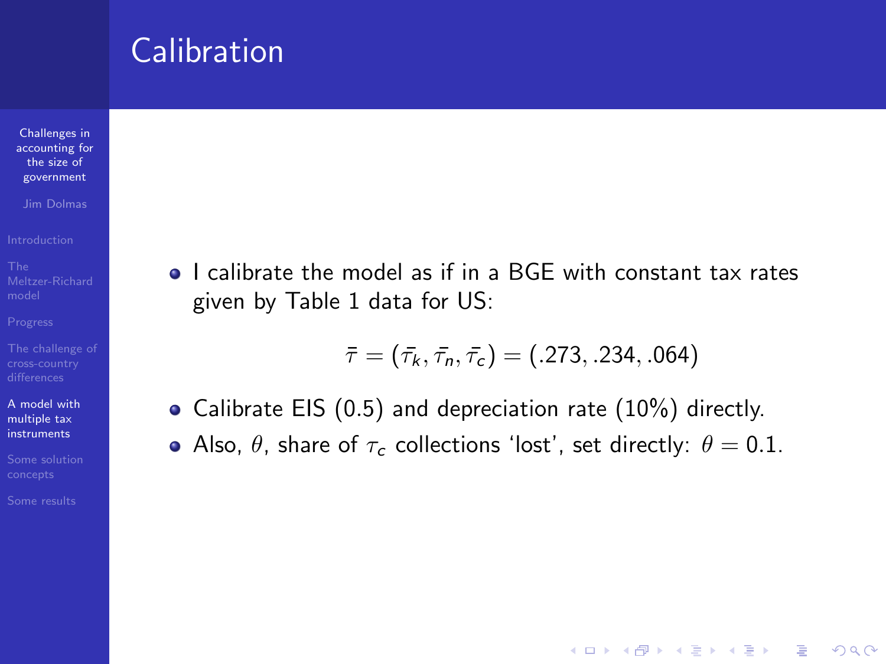Challenges in [accounting for](#page-0-0) the size of government

Jim Dolmas

[A model with](#page-16-0) multiple tax instruments

• I calibrate the model as if in a BGE with constant tax rates given by Table 1 data for US:

$$
\bar{\tau} = (\bar{\tau_k}, \bar{\tau_n}, \bar{\tau_c}) = (.273, .234, .064)
$$

- Calibrate EIS (0.5) and depreciation rate (10%) directly.
- Also,  $\theta$ , share of  $\tau_c$  collections 'lost', set directly:  $\theta = 0.1$ .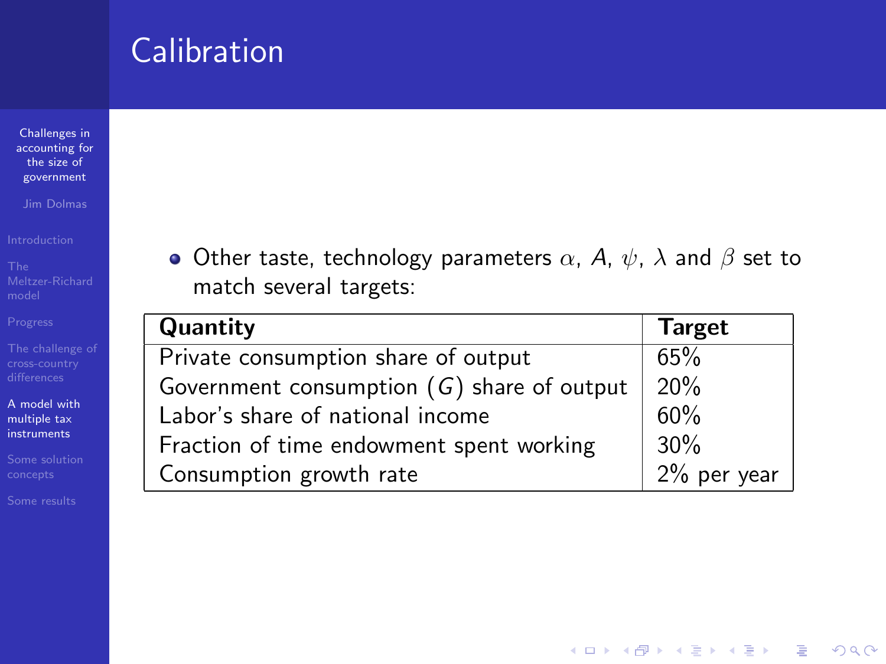Challenges in [accounting for](#page-0-0) the size of government

Jim Dolmas

[A model with](#page-16-0) multiple tax instruments

• Other taste, technology parameters  $\alpha$ , A,  $\psi$ ,  $\lambda$  and  $\beta$  set to match several targets:

| Quantity                                     | <b>Target</b>  |
|----------------------------------------------|----------------|
| Private consumption share of output          | 65%            |
| Government consumption $(G)$ share of output | 20%            |
| Labor's share of national income             | 60%            |
| Fraction of time endowment spent working     | 30%            |
| Consumption growth rate                      | $2\%$ per year |

**KORK STRATER STRAKES**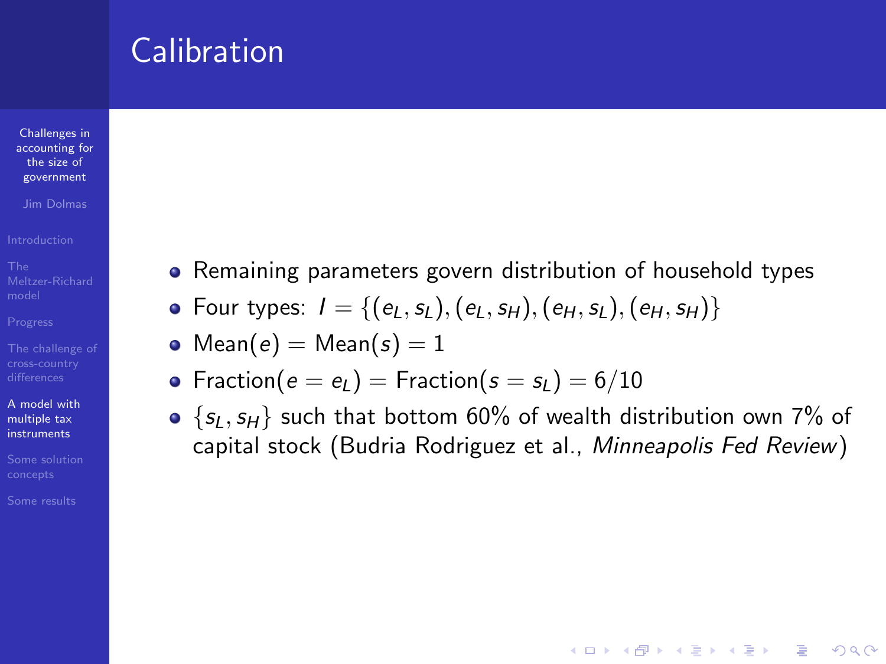Challenges in [accounting for](#page-0-0) the size of government

Jim Dolmas

[A model with](#page-16-0) multiple tax instruments

- Remaining parameters govern distribution of household types
- Four types:  $I = \{(e_L, s_L), (e_L, s_H), (e_H, s_L), (e_H, s_H)\}\$
- Mean( $e$ ) = Mean( $s$ ) = 1
- Fraction( $e = e_l$ ) = Fraction( $s = s_l$ ) = 6/10
- $\bullet$  {s<sub>L</sub>, s<sub>H</sub>} such that bottom 60% of wealth distribution own 7% of capital stock (Budria Rodriguez et al., Minneapolis Fed Review)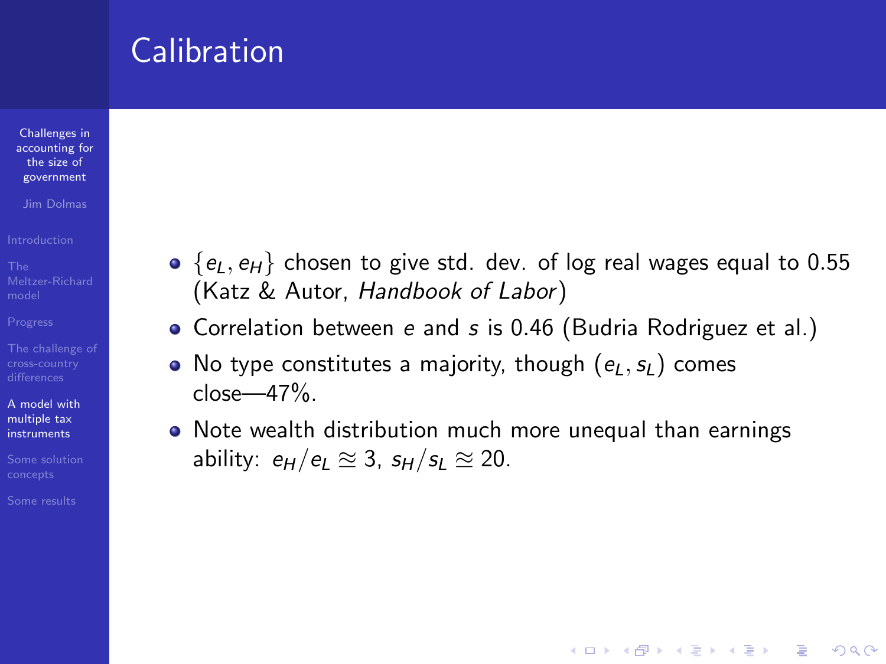Challenges in [accounting for](#page-0-0) the size of government

Jim Dolmas

[A model with](#page-16-0) multiple tax instruments

- $\bullet$  {e<sub>l</sub>, e<sub>H</sub>} chosen to give std. dev. of log real wages equal to 0.55 (Katz & Autor, Handbook of Labor)
- Correlation between e and s is 0.46 (Budria Rodriguez et al.)
- No type constitutes a majority, though  $(e_l, s_l)$  comes  $close-47%$ .
- Note wealth distribution much more unequal than earnings ability:  $e_H / e_I \approx 3$ ,  $s_H / s_I \approx 20$ .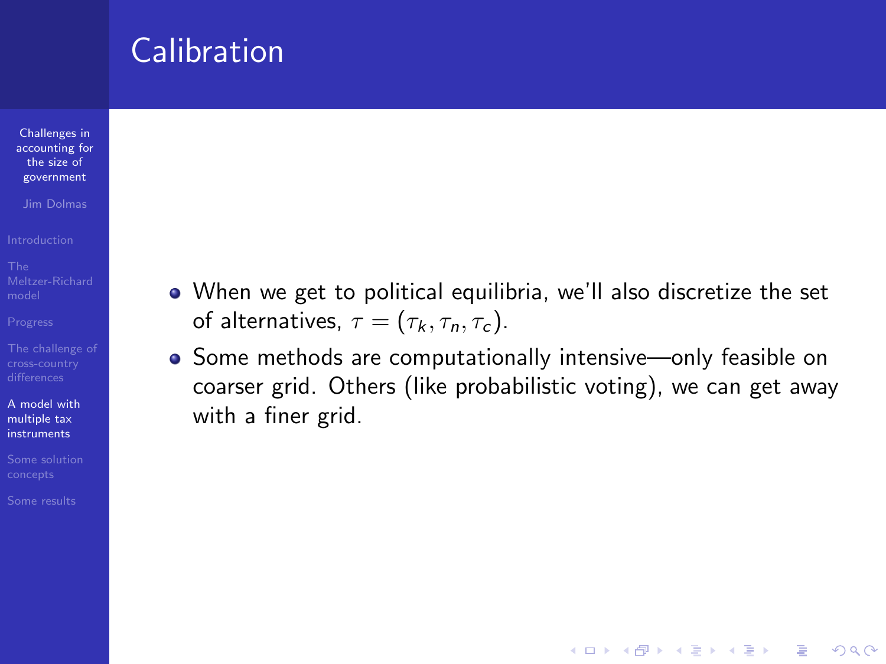Challenges in [accounting for](#page-0-0) the size of government

Jim Dolmas

[A model with](#page-16-0) multiple tax instruments

- When we get to political equilibria, we'll also discretize the set of alternatives,  $\tau = (\tau_k, \tau_n, \tau_c)$ .
- Some methods are computationally intensive—only feasible on coarser grid. Others (like probabilistic voting), we can get away with a finer grid.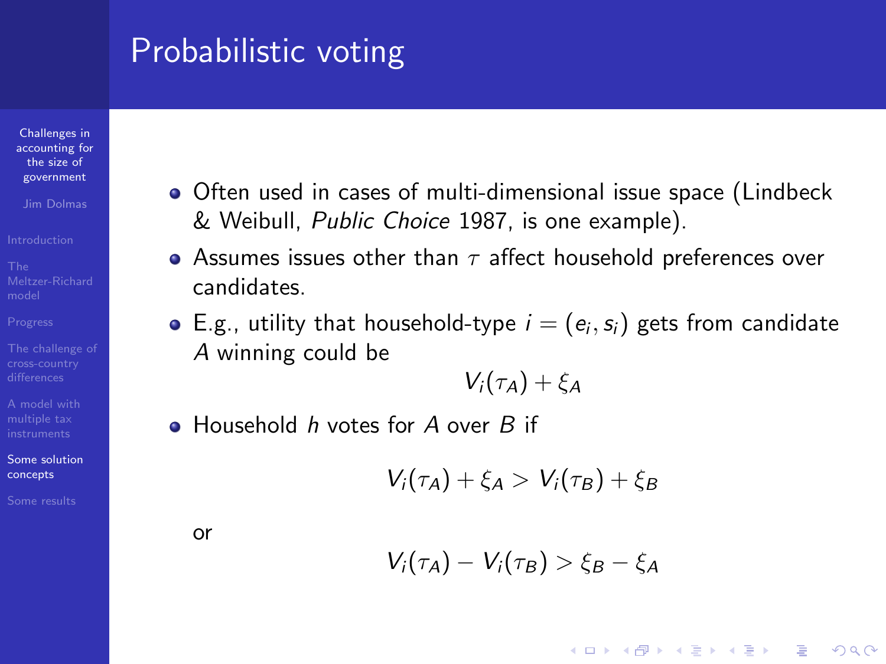# Probabilistic voting

Challenges in [accounting for](#page-0-0) the size of government

Jim Dolmas

[A model with](#page-16-0)

[Some solution](#page-29-0) concepts

<span id="page-29-0"></span>

- Often used in cases of multi-dimensional issue space (Lindbeck & Weibull, Public Choice 1987, is one example).
- Assumes issues other than  $\tau$  affect household preferences over candidates.
- E.g., utility that household-type  $i=(e_i,s_i)$  gets from candidate A winning could be

$$
V_i(\tau_A)+\xi_A
$$

• Household h votes for A over B if

$$
V_i(\tau_A)+\xi_A>V_i(\tau_B)+\xi_B
$$

or

$$
V_i(\tau_A) - V_i(\tau_B) > \xi_B - \xi_A
$$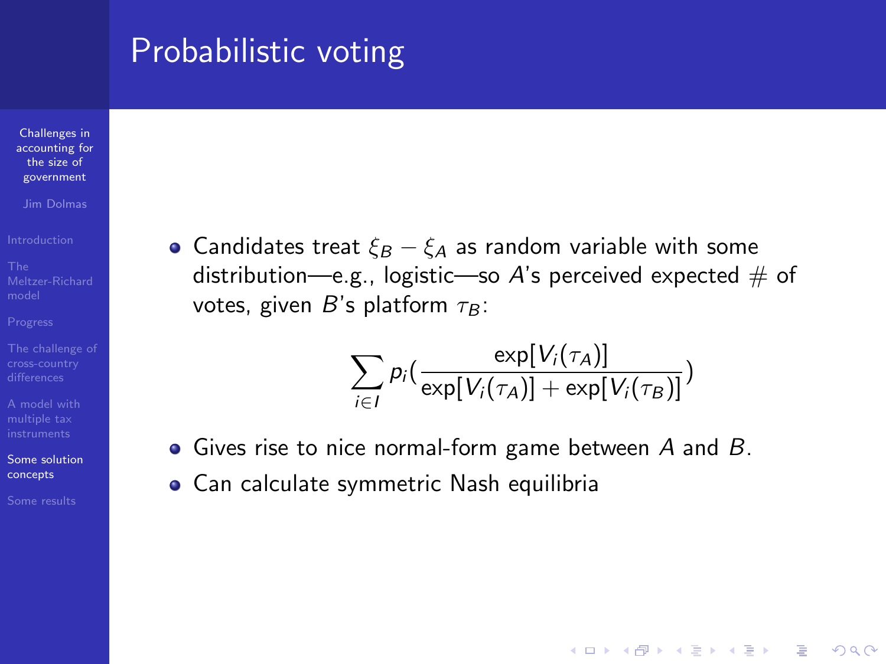# Probabilistic voting

Challenges in [accounting for](#page-0-0) the size of government

Jim Dolmas

[A model with](#page-16-0)

[Some solution](#page-29-0) concepts

• Candidates treat  $\xi_B - \xi_A$  as random variable with some distribution—e.g., logistic—so A's perceived expected  $\#$  of votes, given B's platform  $\tau_B$ :

$$
\sum_{i \in I} p_i \big( \frac{\exp[V_i(\tau_A)]}{\exp[V_i(\tau_A)] + \exp[V_i(\tau_B)]} \big)
$$

- $\bullet$  Gives rise to nice normal-form game between A and B.
- Can calculate symmetric Nash equilibria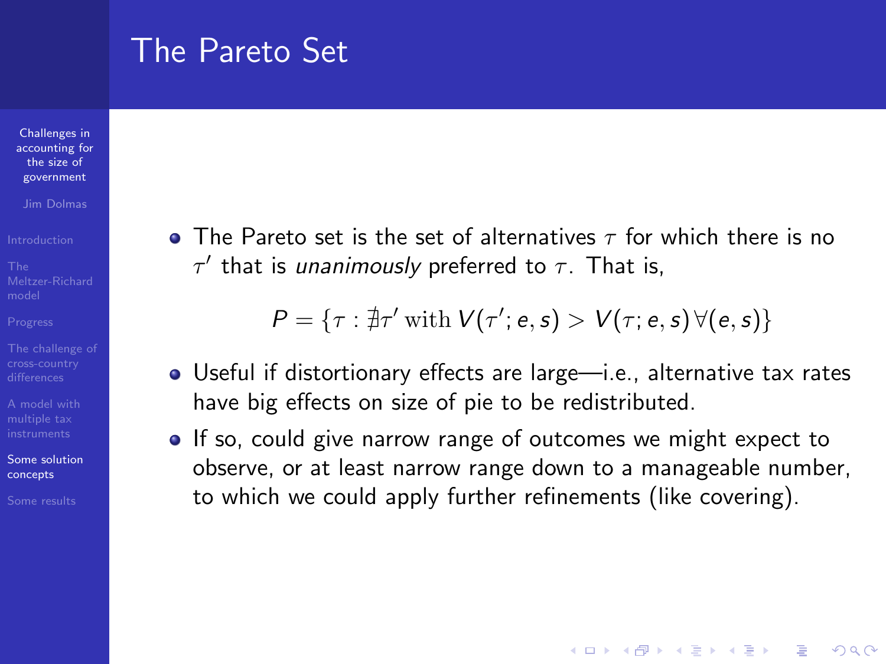#### The Pareto Set

Challenges in [accounting for](#page-0-0) the size of government

Jim Dolmas

[A model with](#page-16-0)

[Some solution](#page-29-0) concepts

**•** The Pareto set is the set of alternatives  $\tau$  for which there is no  $\tau'$  that is unanimously preferred to  $\tau$ . That is,

 $P = \{\tau : \nexists \tau' \text{ with } V(\tau'; e, s) > V(\tau; e, s) \forall (e, s) \}$ 

- Useful if distortionary effects are large—i.e., alternative tax rates have big effects on size of pie to be redistributed.
- If so, could give narrow range of outcomes we might expect to observe, or at least narrow range down to a manageable number, to which we could apply further refinements (like covering).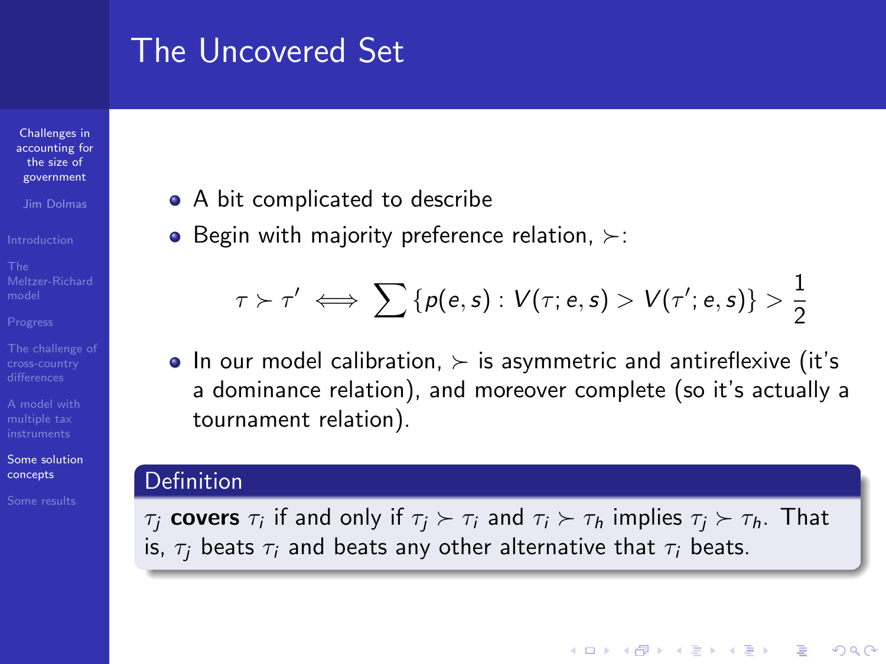# The Uncovered Set

Challenges in [accounting for](#page-0-0) the size of government

Jim Dolmas

[A model with](#page-16-0)

[Some solution](#page-29-0) concepts

- A bit complicated to describe
- Begin with majority preference relation,  $\succ$ :

$$
\tau \succ \tau' \iff \sum {\{ \rho(e,s) : V(\tau;e,s) > V(\tau';e,s) \}} > \frac{1}{2}
$$

 $\bullet$  In our model calibration,  $\succ$  is asymmetric and antireflexive (it's a dominance relation), and moreover complete (so it's actually a tournament relation).

#### Definition

 $\tau_j$  **covers**  $\tau_i$  if and only if  $\tau_j \succ \tau_i$  and  $\tau_i \succ \tau_h$  implies  $\tau_j \succ \tau_h$ . That is,  $\tau_i$  beats  $\tau_i$  and beats any other alternative that  $\tau_i$  beats.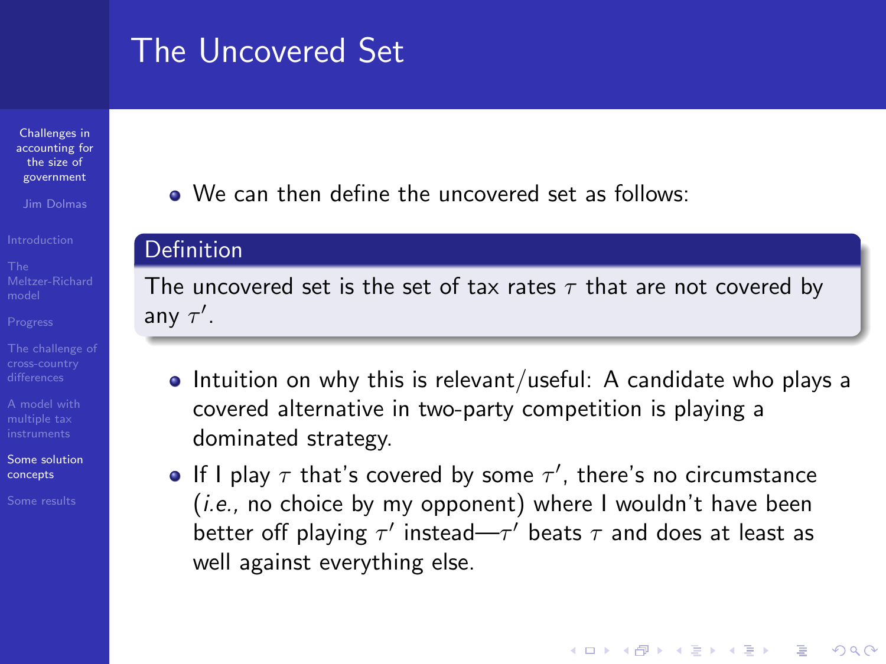# The Uncovered Set

Challenges in [accounting for](#page-0-0) the size of government

Jim Dolmas

[A model with](#page-16-0)

[Some solution](#page-29-0) concepts

• We can then define the uncovered set as follows:

#### Definition

The uncovered set is the set of tax rates  $\tau$  that are not covered by any  $\tau'$ .

- $\bullet$  Intuition on why this is relevant/useful: A candidate who plays a covered alternative in two-party competition is playing a dominated strategy.
- If I play  $\tau$  that's covered by some  $\tau'$ , there's no circumstance  $(i.e.,$  no choice by my opponent) where I wouldn't have been better off playing  $\tau'$  instead— $\tau'$  beats  $\tau$  and does at least as well against everything else.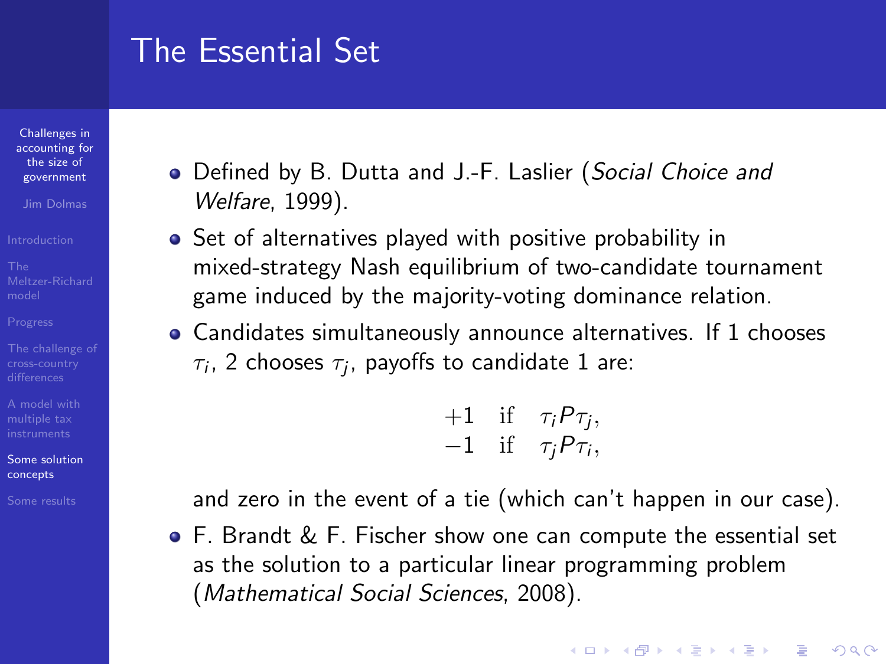## The Essential Set

Challenges in [accounting for](#page-0-0) the size of government

Jim Dolmas

[A model with](#page-16-0)

[Some solution](#page-29-0) concepts

- Defined by B. Dutta and J.-F. Laslier (Social Choice and Welfare, 1999).
- Set of alternatives played with positive probability in mixed-strategy Nash equilibrium of two-candidate tournament game induced by the majority-voting dominance relation.
- Candidates simultaneously announce alternatives. If 1 chooses  $\tau_i$ , 2 chooses  $\tau_j$ , payoffs to candidate 1 are:

 $+1$  if  $\tau_i P \tau_j$ ,  $-1$  if  $\tau_j P \tau_i$ ,

and zero in the event of a tie (which can't happen in our case).

**KORKA SERKER ORA** 

F. Brandt & F. Fischer show one can compute the essential set as the solution to a particular linear programming problem (Mathematical Social Sciences, 2008).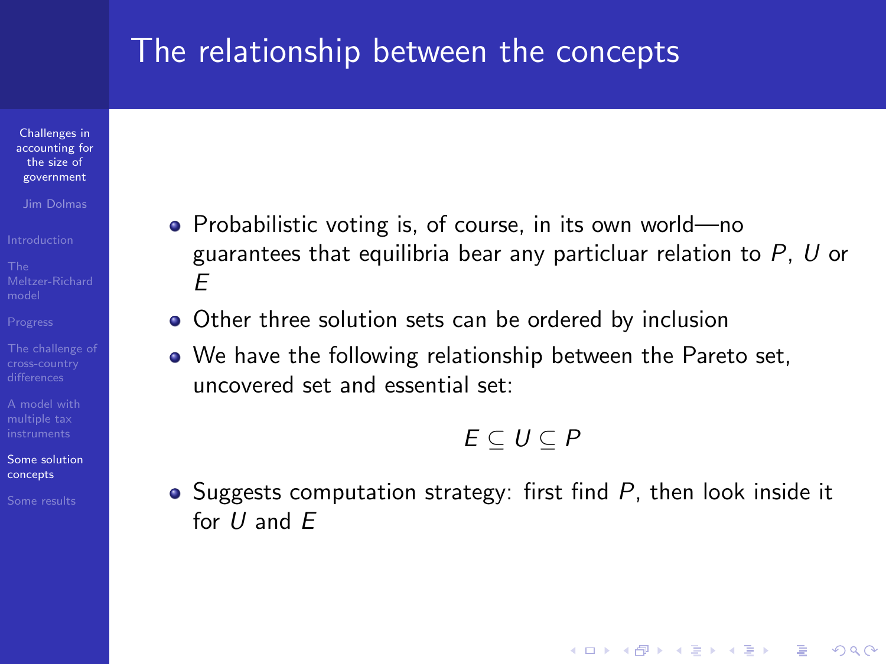#### The relationship between the concepts

Challenges in [accounting for](#page-0-0) the size of government

Jim Dolmas

[A model with](#page-16-0)

[Some solution](#page-29-0) concepts

- Probabilistic voting is, of course, in its own world—no guarantees that equilibria bear any particluar relation to  $P$ ,  $U$  or E
- Other three solution sets can be ordered by inclusion
- We have the following relationship between the Pareto set, uncovered set and essential set:

#### $E \subset U \subset P$

**KORKA SERKER ORA** 

• Suggests computation strategy: first find  $P$ , then look inside it for  $U$  and  $F$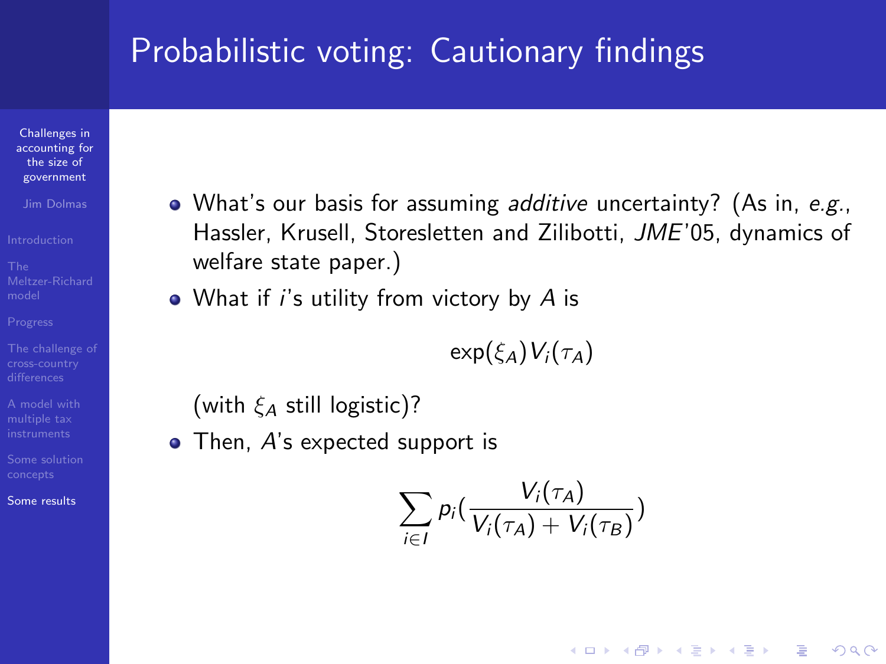# Probabilistic voting: Cautionary findings

Challenges in [accounting for](#page-0-0) the size of government

Jim Dolmas

[A model with](#page-16-0)

<span id="page-36-0"></span>[Some results](#page-36-0)

- What's our basis for assuming additive uncertainty? (As in, e.g., Hassler, Krusell, Storesletten and Zilibotti, JME'05, dynamics of welfare state paper.)
- $\bullet$  What if *i's* utility from victory by A is

$$
\exp(\xi_A) V_i(\tau_A)
$$

(with  $\xi_A$  still logistic)?

• Then, A's expected support is

$$
\sum_{i\in I} p_i\left(\frac{V_i(\tau_A)}{V_i(\tau_A)+V_i(\tau_B)}\right)
$$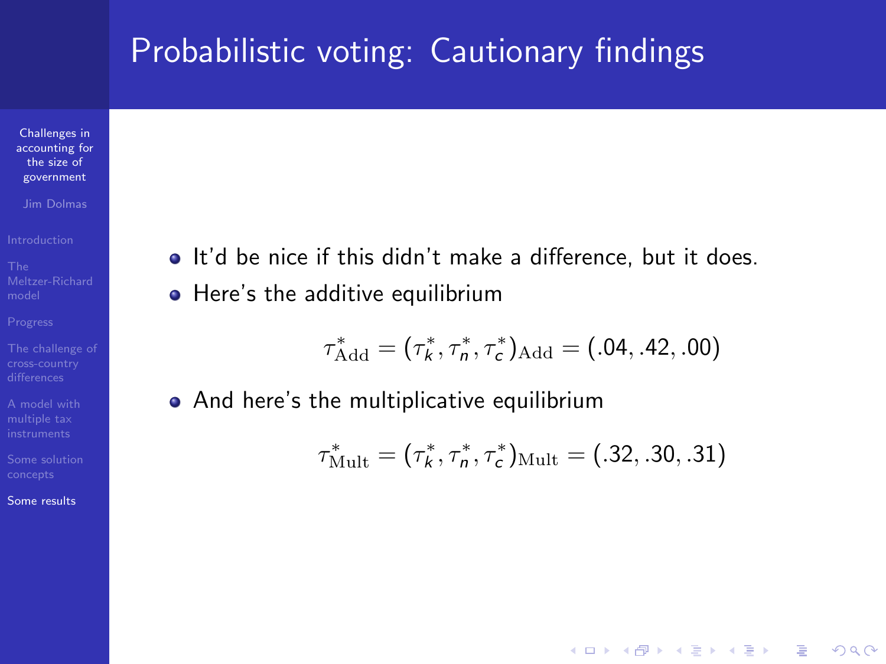### Probabilistic voting: Cautionary findings

Challenges in [accounting for](#page-0-0) the size of government

Jim Dolmas

[A model with](#page-16-0)

[Some results](#page-36-0)

 $\bullet$  It'd be nice if this didn't make a difference, but it does. • Here's the additive equilibrium

$$
\tau_{\text{Add}}^* = (\tau_k^*, \tau_n^*, \tau_c^*)_{\text{Add}} = (.04, .42, .00)
$$

• And here's the multiplicative equilibrium

$$
\tau_{\text{Mult}}^* = (\tau_k^*, \tau_n^*, \tau_c^*)_{\text{Mult}} = (.32, .30, .31)
$$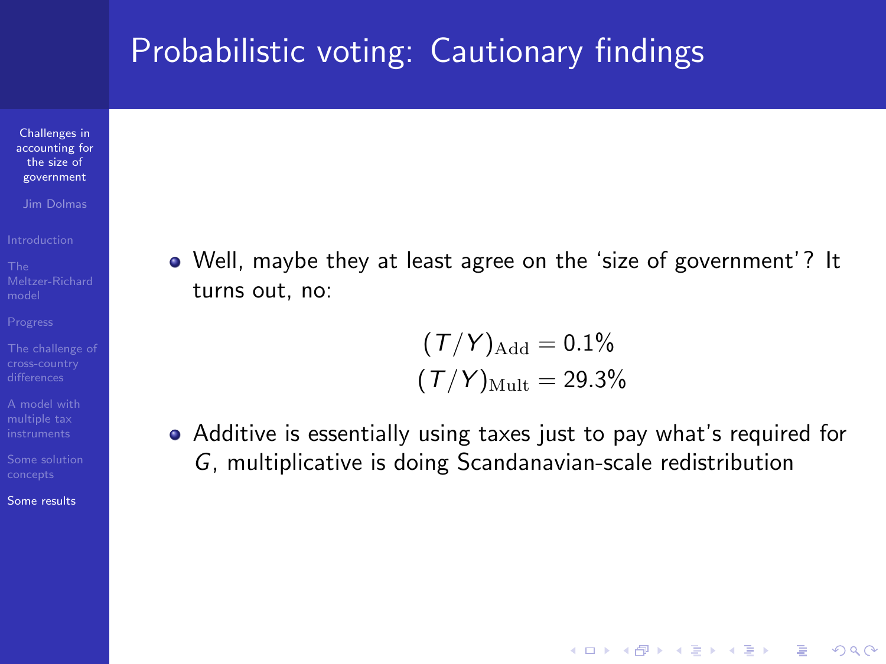### Probabilistic voting: Cautionary findings

Challenges in [accounting for](#page-0-0) the size of government

Jim Dolmas

[A model with](#page-16-0)

[Some results](#page-36-0)

Well, maybe they at least agree on the 'size of government'? It turns out, no:

$$
(\mathcal{T}/\mathcal{Y})_{\text{Add}} = 0.1\%
$$

$$
(\mathcal{T}/\mathcal{Y})_{\text{Mult}} = 29.3\%
$$

Additive is essentially using taxes just to pay what's required for G, multiplicative is doing Scandanavian-scale redistribution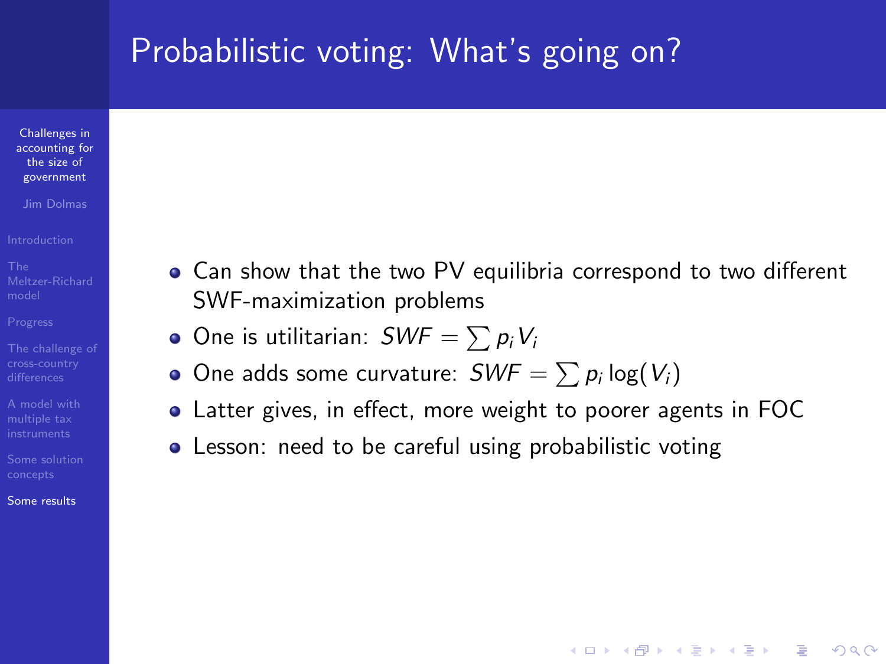# Probabilistic voting: What's going on?

Challenges in [accounting for](#page-0-0) the size of government

Jim Dolmas

[A model with](#page-16-0)

[Some results](#page-36-0)

- Can show that the two PV equilibria correspond to two different SWF-maximization problems
	- One is utilitarian:  $\mathit{SWF} = \sum p_i V_i$
	- One adds some curvature:  $\mathit{SWF} = \sum p_i \log(V_i)$
- Latter gives, in effect, more weight to poorer agents in FOC

**KORK STRAIN A BAR SHOP** 

• Lesson: need to be careful using probabilistic voting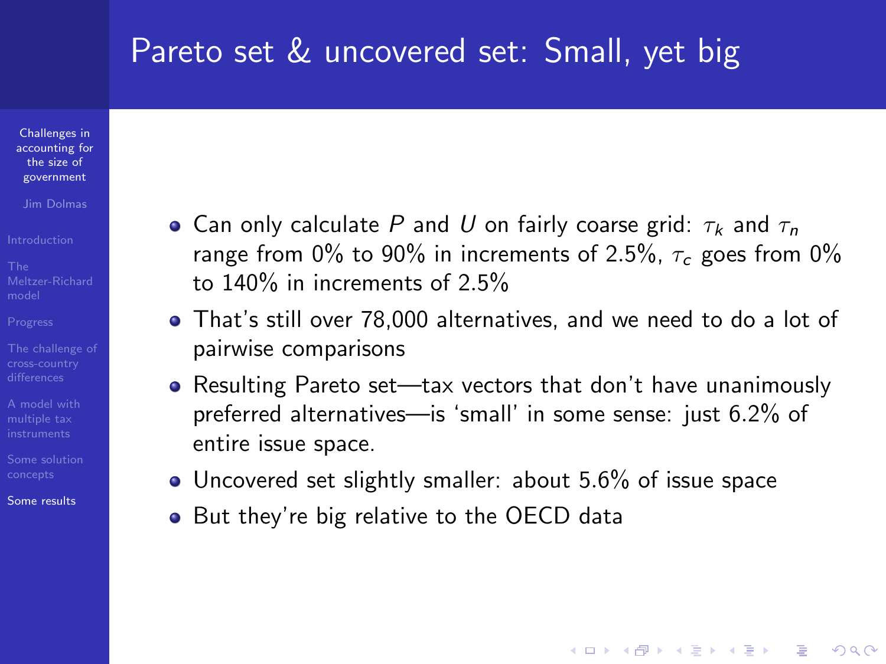#### Pareto set & uncovered set: Small, yet big

Challenges in [accounting for](#page-0-0) the size of government

Jim Dolmas

[A model with](#page-16-0)

[Some results](#page-36-0)

- Can only calculate P and U on fairly coarse grid:  $\tau_k$  and  $\tau_n$ range from 0% to 90% in increments of 2.5%,  $\tau_c$  goes from 0% to 140% in increments of 2.5%
- That's still over 78,000 alternatives, and we need to do a lot of pairwise comparisons
- Resulting Pareto set—tax vectors that don't have unanimously preferred alternatives—is 'small' in some sense: just 6.2% of entire issue space.

- Uncovered set slightly smaller: about 5.6% of issue space
- But they're big relative to the OECD data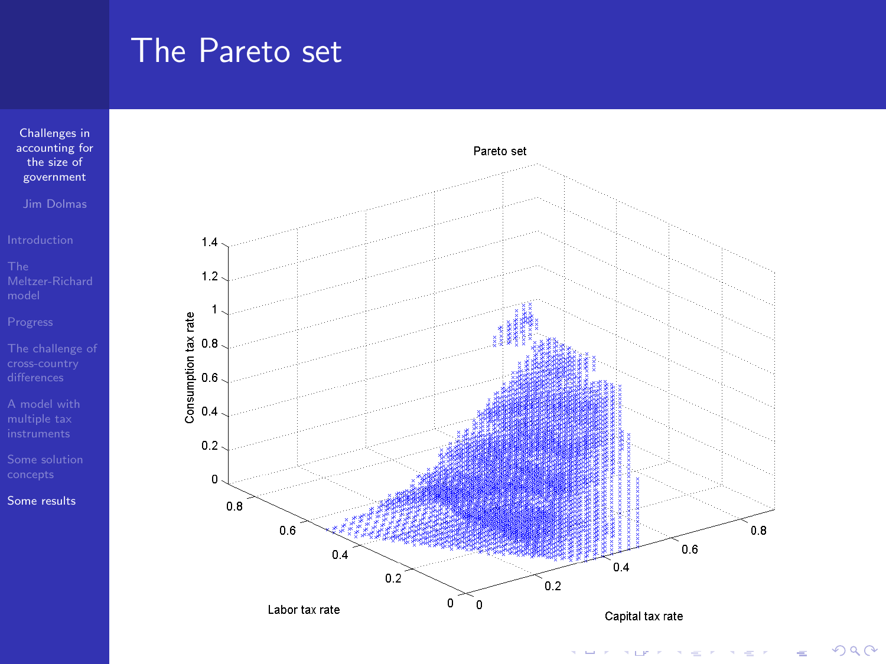## The Pareto set

Challenges in [accounting for](#page-0-0) the size of government

Jim Dolmas

[Some results](#page-36-0)



 $2Q$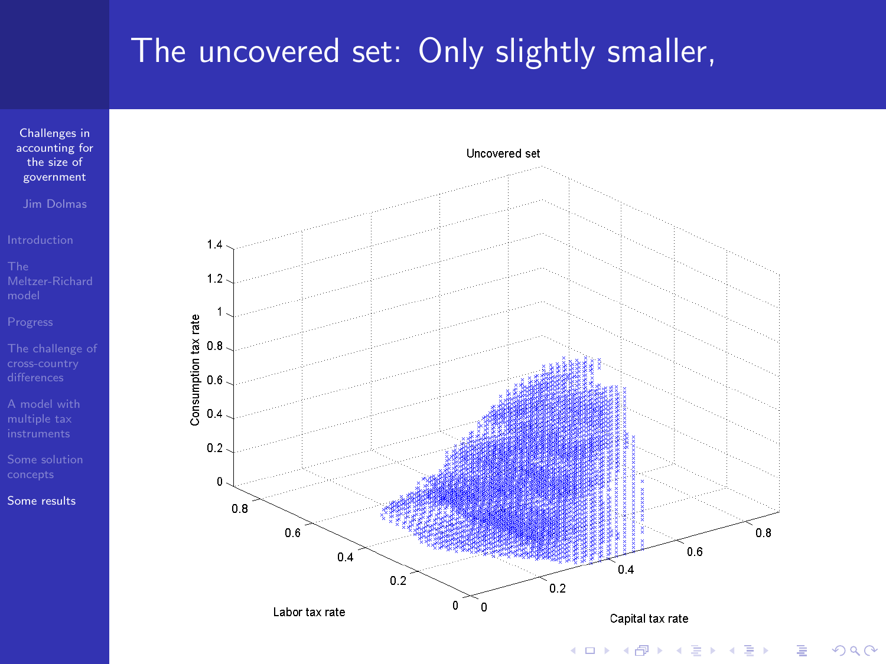# The uncovered set: Only slightly smaller,



Jim Dolmas

[Some results](#page-36-0)



 $\leftarrow$   $\Box$ 

 $2Q$ Þ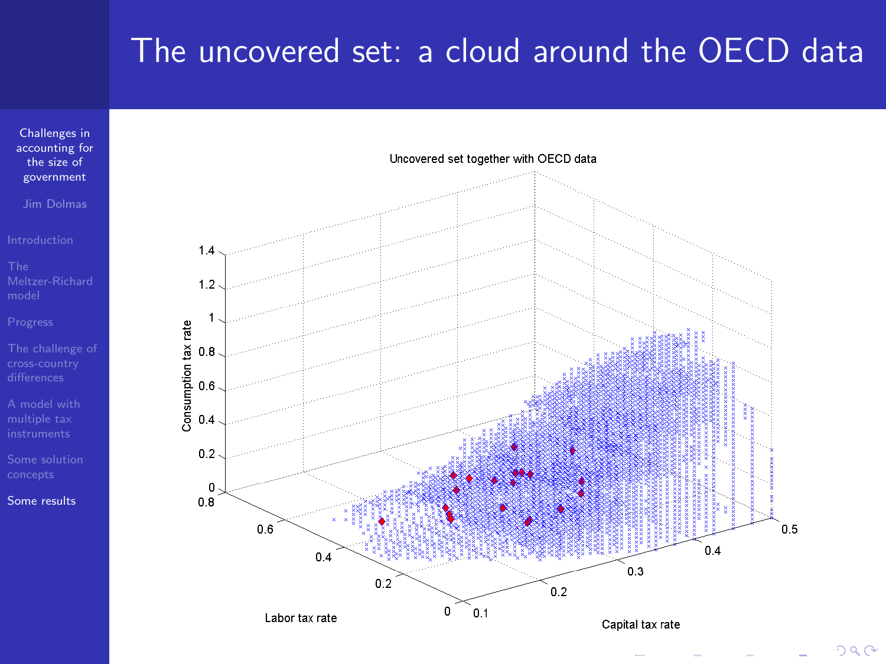# The uncovered set: a cloud around the OECD data



Jim Dolmas

[A model with](#page-16-0)

[Some results](#page-36-0)



 $290$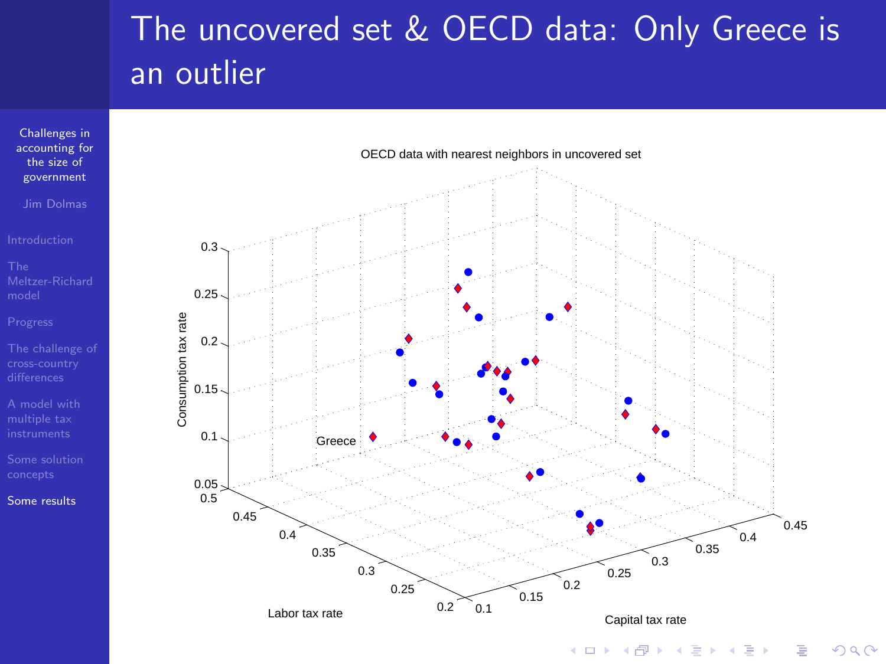# The uncovered set & OECD data: Only Greece is an outlier



Jim Dolmas

[A model with](#page-16-0)

[Some results](#page-36-0)

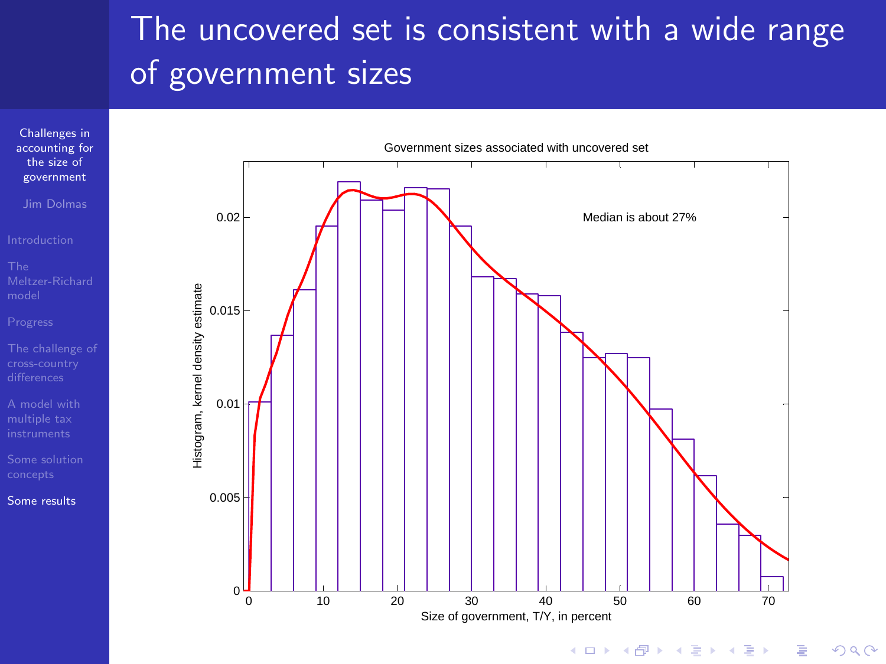# The uncovered set is consistent with a wide range of government sizes



Jim Dolmas

[A model with](#page-16-0)

[Some results](#page-36-0)



 $2990$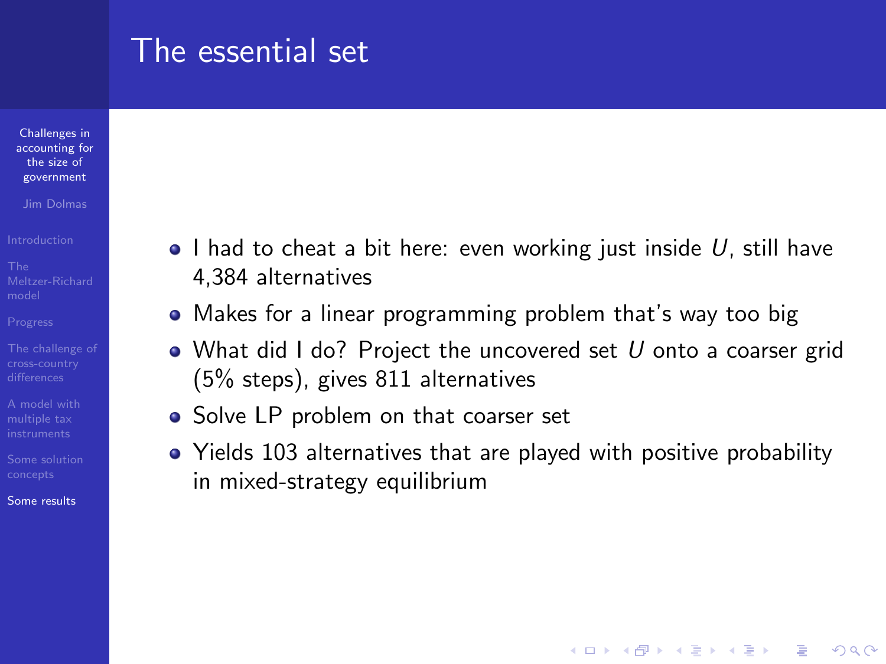#### The essential set

Challenges in [accounting for](#page-0-0) the size of government

Jim Dolmas

[A model with](#page-16-0)

[Some results](#page-36-0)

- $\bullet$  I had to cheat a bit here: even working just inside U, still have 4,384 alternatives
- Makes for a linear programming problem that's way too big
- What did I do? Project the uncovered set  $U$  onto a coarser grid (5% steps), gives 811 alternatives
- Solve LP problem on that coarser set
- Yields 103 alternatives that are played with positive probability in mixed-strategy equilibrium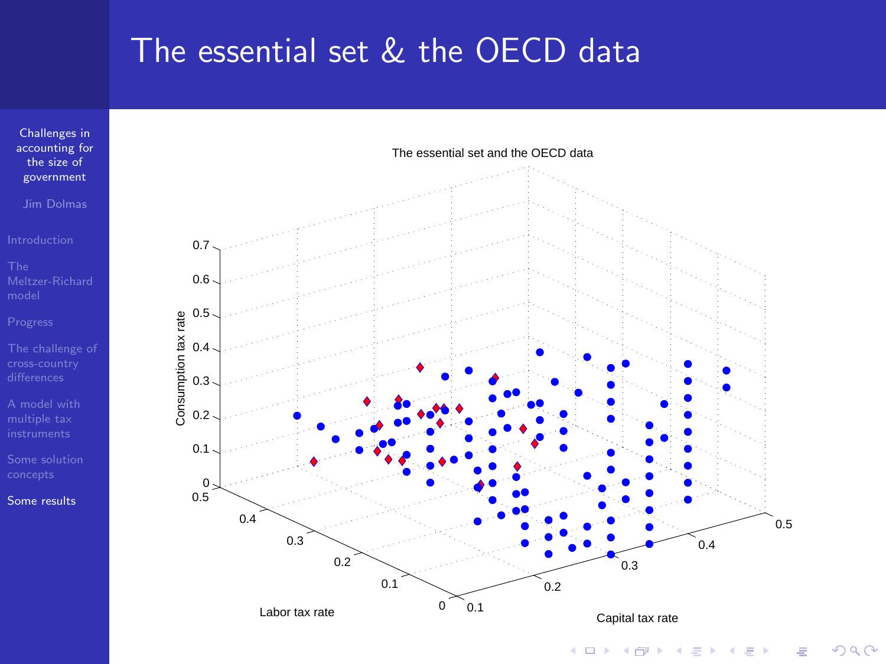## The essential set & the OECD data



Jim Dolmas

[A model with](#page-16-0)

[Some results](#page-36-0)



×.

 $2Q$ **TT**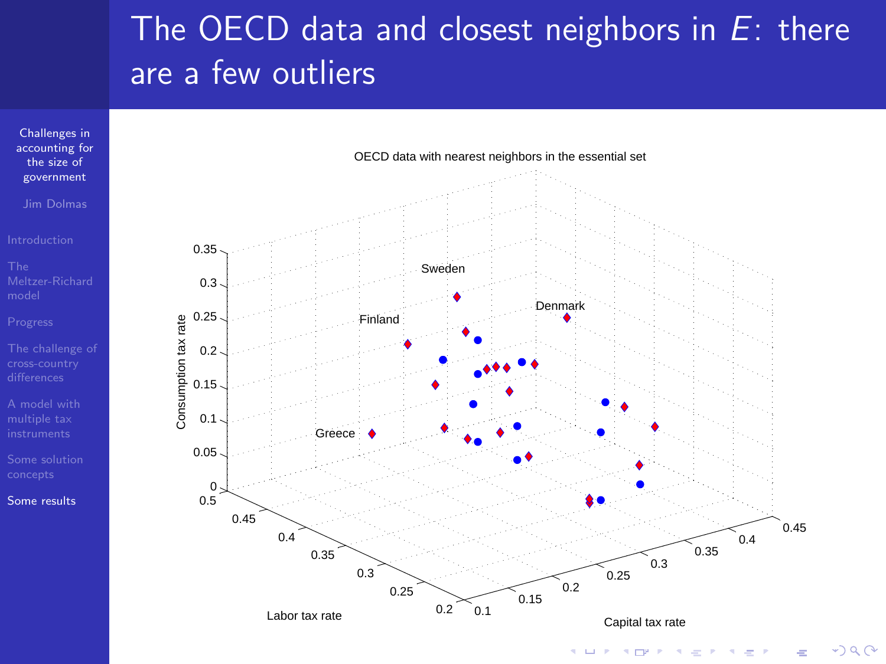# The OECD data and closest neighbors in  $E$ : there are a few outliers



 $-290$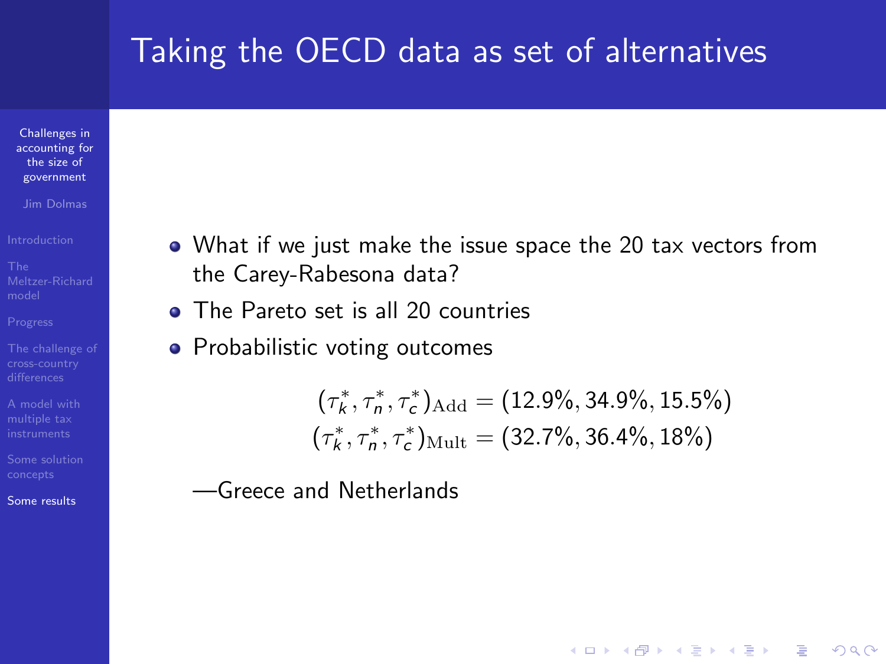# Taking the OECD data as set of alternatives

Challenges in [accounting for](#page-0-0) the size of government

Jim Dolmas

[A model with](#page-16-0)

[Some results](#page-36-0)

- What if we just make the issue space the 20 tax vectors from the Carey-Rabesona data?
- The Pareto set is all 20 countries
- Probabilistic voting outcomes

$$
(\tau_k^*, \tau_n^*, \tau_c^*)_{\text{Add}} = (12.9\%, 34.9\%, 15.5\%)
$$
  

$$
(\tau_k^*, \tau_n^*, \tau_c^*)_{\text{Mult}} = (32.7\%, 36.4\%, 18\%)
$$

**KORK STRAIN A BAR SHOP** 

—Greece and Netherlands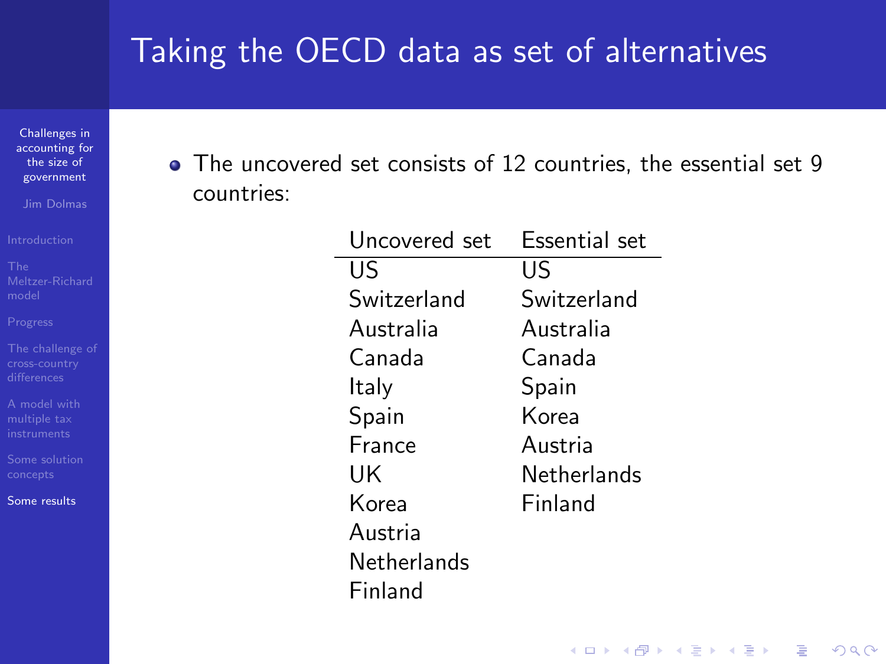# Taking the OECD data as set of alternatives

Challenges in [accounting for](#page-0-0) the size of government

Jim Dolmas

[A model with](#page-16-0)

[Some results](#page-36-0)

The uncovered set consists of 12 countries, the essential set 9 countries:

| Uncovered set | Fssential set |  |
|---------------|---------------|--|
| US            | US            |  |
| Switzerland   | Switzerland   |  |
| Australia     | Australia     |  |
| Canada        | Canada        |  |
| ltaly         | Spain         |  |
| Spain         | Korea         |  |
| France        | Austria       |  |
| UK            | Netherlands   |  |
| Korea         | Finland       |  |
| Austria       |               |  |
| Netherlands   |               |  |
| Finland       |               |  |

**KORK STRATER STRAKES**